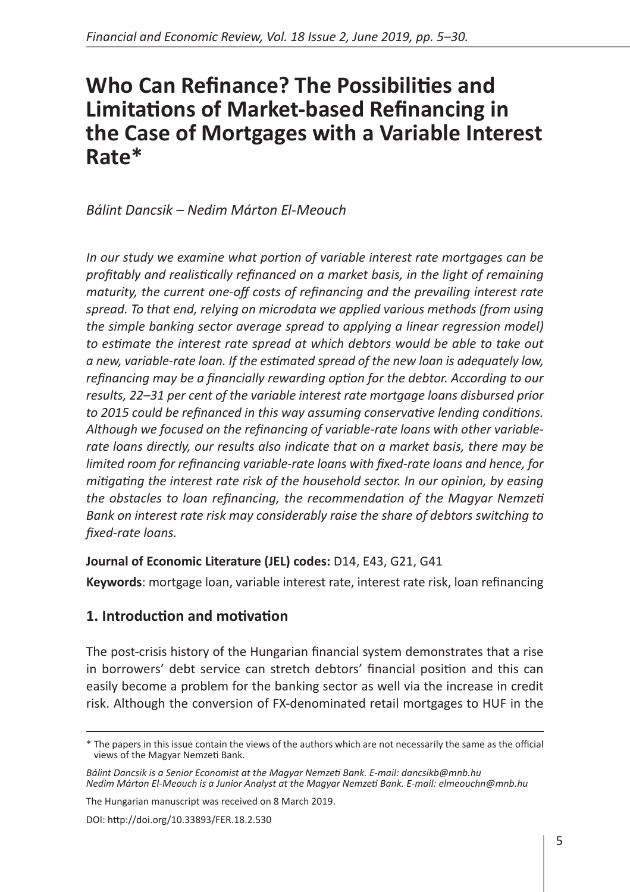# **Who Can Refinance? The Possibilities and Limitations of Market-based Refinancing in the Case of Mortgages with a Variable Interest Rate\***

*Bálint Dancsik – Nedim Márton El-Meouch*

*In our study we examine what portion of variable interest rate mortgages can be profitably and realistically refinanced on a market basis, in the light of remaining maturity, the current one-off costs of refinancing and the prevailing interest rate spread. To that end, relying on microdata we applied various methods (from using the simple banking sector average spread to applying a linear regression model) to estimate the interest rate spread at which debtors would be able to take out a new, variable-rate loan. If the estimated spread of the new loan is adequately low, refinancing may be a financially rewarding option for the debtor. According to our results, 22–31 per cent of the variable interest rate mortgage loans disbursed prior to 2015 could be refinanced in this way assuming conservative lending conditions. Although we focused on the refinancing of variable-rate loans with other variablerate loans directly, our results also indicate that on a market basis, there may be limited room for refinancing variable-rate loans with fixed-rate loans and hence, for mitigating the interest rate risk of the household sector. In our opinion, by easing the obstacles to loan refinancing, the recommendation of the Magyar Nemzeti Bank on interest rate risk may considerably raise the share of debtors switching to fixed-rate loans.* 

### **Journal of Economic Literature (JEL) codes:** D14, E43, G21, G41

**Keywords**: mortgage loan, variable interest rate, interest rate risk, loan refinancing

# **1. Introduction and motivation**

The post-crisis history of the Hungarian financial system demonstrates that a rise in borrowers' debt service can stretch debtors' financial position and this can easily become a problem for the banking sector as well via the increase in credit risk. Although the conversion of FX-denominated retail mortgages to HUF in the

The Hungarian manuscript was received on 8 March 2019.

<sup>\*</sup> The papers in this issue contain the views of the authors which are not necessarily the same as the official views of the Magyar Nemzeti Bank.

*Bálint Dancsik is a Senior Economist at the Magyar Nemzeti Bank. E-mail: dancsikb@mnb.hu Nedim Márton El-Meouch is a Junior Analyst at the Magyar Nemzeti Bank. E-mail: elmeouchn@mnb.hu*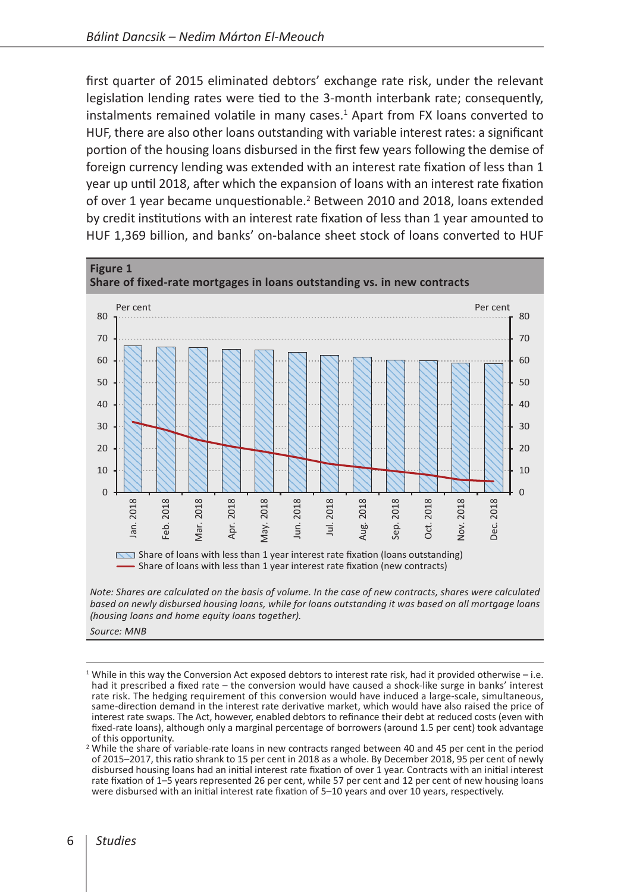first quarter of 2015 eliminated debtors' exchange rate risk, under the relevant legislation lending rates were tied to the 3-month interbank rate; consequently, instalments remained volatile in many cases. $<sup>1</sup>$  Apart from FX loans converted to</sup> HUF, there are also other loans outstanding with variable interest rates: a significant portion of the housing loans disbursed in the first few years following the demise of foreign currency lending was extended with an interest rate fixation of less than 1 year up until 2018, after which the expansion of loans with an interest rate fixation of over 1 year became unquestionable.<sup>2</sup> Between 2010 and 2018, loans extended by credit institutions with an interest rate fixation of less than 1 year amounted to HUF 1,369 billion, and banks' on-balance sheet stock of loans converted to HUF



<sup>1</sup> While in this way the Conversion Act exposed debtors to interest rate risk, had it provided otherwise – i.e. had it prescribed a fixed rate – the conversion would have caused a shock-like surge in banks' interest rate risk. The hedging requirement of this conversion would have induced a large-scale, simultaneous, same-direction demand in the interest rate derivative market, which would have also raised the price of interest rate swaps. The Act, however, enabled debtors to refinance their debt at reduced costs (even with fixed-rate loans), although only a marginal percentage of borrowers (around 1.5 per cent) took advantage

of this opportunity. <sup>2</sup> While the share of variable-rate loans in new contracts ranged between 40 and 45 per cent in the period of 2015–2017, this ratio shrank to 15 per cent in 2018 as a whole. By December 2018, 95 per cent of newly disbursed housing loans had an initial interest rate fixation of over 1 year. Contracts with an initial interest rate fixation of 1–5 years represented 26 per cent, while 57 per cent and 12 per cent of new housing loans were disbursed with an initial interest rate fixation of 5–10 years and over 10 years, respectively.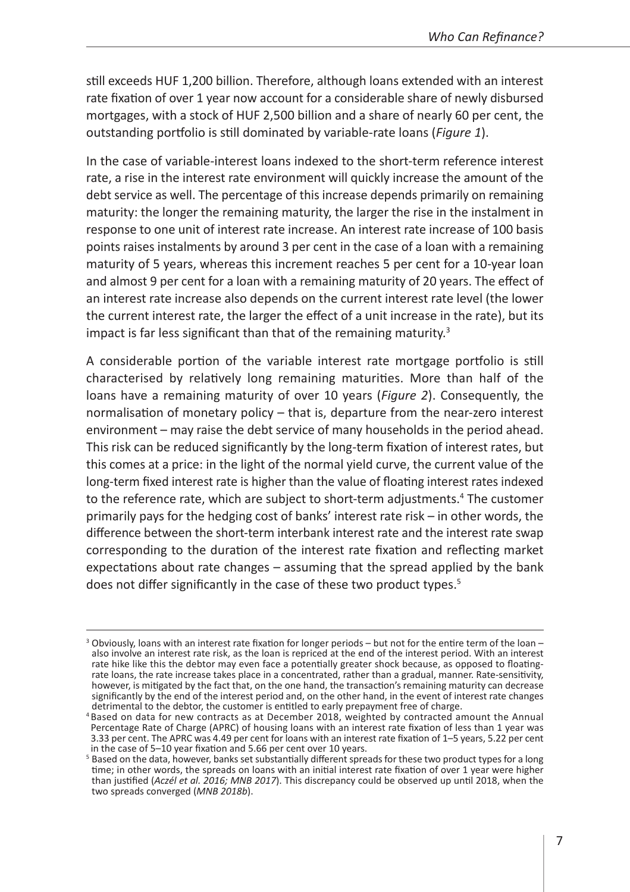still exceeds HUF 1,200 billion. Therefore, although loans extended with an interest rate fixation of over 1 year now account for a considerable share of newly disbursed mortgages, with a stock of HUF 2,500 billion and a share of nearly 60 per cent, the outstanding portfolio is still dominated by variable-rate loans (*Figure 1*).

In the case of variable-interest loans indexed to the short-term reference interest rate, a rise in the interest rate environment will quickly increase the amount of the debt service as well. The percentage of this increase depends primarily on remaining maturity: the longer the remaining maturity, the larger the rise in the instalment in response to one unit of interest rate increase. An interest rate increase of 100 basis points raises instalments by around 3 per cent in the case of a loan with a remaining maturity of 5 years, whereas this increment reaches 5 per cent for a 10-year loan and almost 9 per cent for a loan with a remaining maturity of 20 years. The effect of an interest rate increase also depends on the current interest rate level (the lower the current interest rate, the larger the effect of a unit increase in the rate), but its impact is far less significant than that of the remaining maturity.<sup>3</sup>

A considerable portion of the variable interest rate mortgage portfolio is still characterised by relatively long remaining maturities. More than half of the loans have a remaining maturity of over 10 years (*Figure 2*). Consequently, the normalisation of monetary policy – that is, departure from the near-zero interest environment – may raise the debt service of many households in the period ahead. This risk can be reduced significantly by the long-term fixation of interest rates, but this comes at a price: in the light of the normal yield curve, the current value of the long-term fixed interest rate is higher than the value of floating interest rates indexed to the reference rate, which are subject to short-term adjustments.<sup>4</sup> The customer primarily pays for the hedging cost of banks' interest rate risk – in other words, the difference between the short-term interbank interest rate and the interest rate swap corresponding to the duration of the interest rate fixation and reflecting market expectations about rate changes – assuming that the spread applied by the bank does not differ significantly in the case of these two product types.<sup>5</sup>

 $3$  Obviously, loans with an interest rate fixation for longer periods – but not for the entire term of the loan – also involve an interest rate risk, as the loan is repriced at the end of the interest period. With an interest rate hike like this the debtor may even face a potentially greater shock because, as opposed to floatingrate loans, the rate increase takes place in a concentrated, rather than a gradual, manner. Rate-sensitivity, however, is mitigated by the fact that, on the one hand, the transaction's remaining maturity can decrease significantly by the end of the interest period and, on the other hand, in the event of interest rate changes detrimental to the debtor, the customer is entitled to early prepayment free of charge.

Based on data for new contracts as at December 2018, weighted by contracted amount the Annual Percentage Rate of Charge (APRC) of housing loans with an interest rate fixation of less than 1 year was 3.33 per cent. The APRC was 4.49 per cent for loans with an interest rate fixation of 1–5 years, 5.22 per cent in the case of 5–10 year fixation and 5.66 per cent over 10 years.

<sup>&</sup>lt;sup>5</sup> Based on the data, however, banks set substantially different spreads for these two product types for a long time; in other words, the spreads on loans with an initial interest rate fixation of over 1 year were higher than justified (*Aczél et al. 2016; MNB 2017*). This discrepancy could be observed up until 2018, when the two spreads converged (*MNB 2018b*).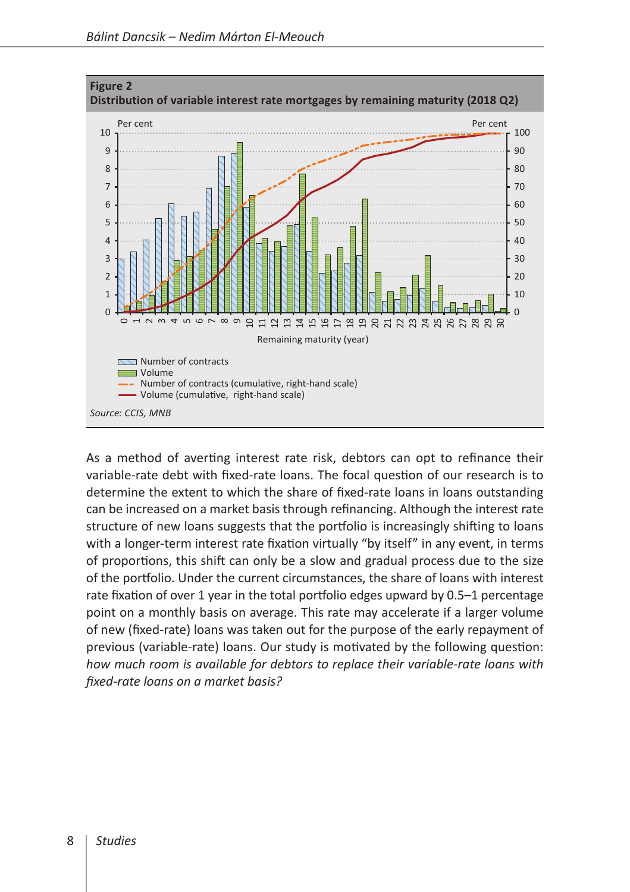

As a method of averting interest rate risk, debtors can opt to refinance their variable-rate debt with fixed-rate loans. The focal question of our research is to determine the extent to which the share of fixed-rate loans in loans outstanding can be increased on a market basis through refinancing. Although the interest rate structure of new loans suggests that the portfolio is increasingly shifting to loans with a longer-term interest rate fixation virtually "by itself" in any event, in terms of proportions, this shift can only be a slow and gradual process due to the size of the portfolio. Under the current circumstances, the share of loans with interest rate fixation of over 1 year in the total portfolio edges upward by 0.5–1 percentage point on a monthly basis on average. This rate may accelerate if a larger volume of new (fixed-rate) loans was taken out for the purpose of the early repayment of previous (variable-rate) loans. Our study is motivated by the following question: *how much room is available for debtors to replace their variable-rate loans with fixed-rate loans on a market basis?*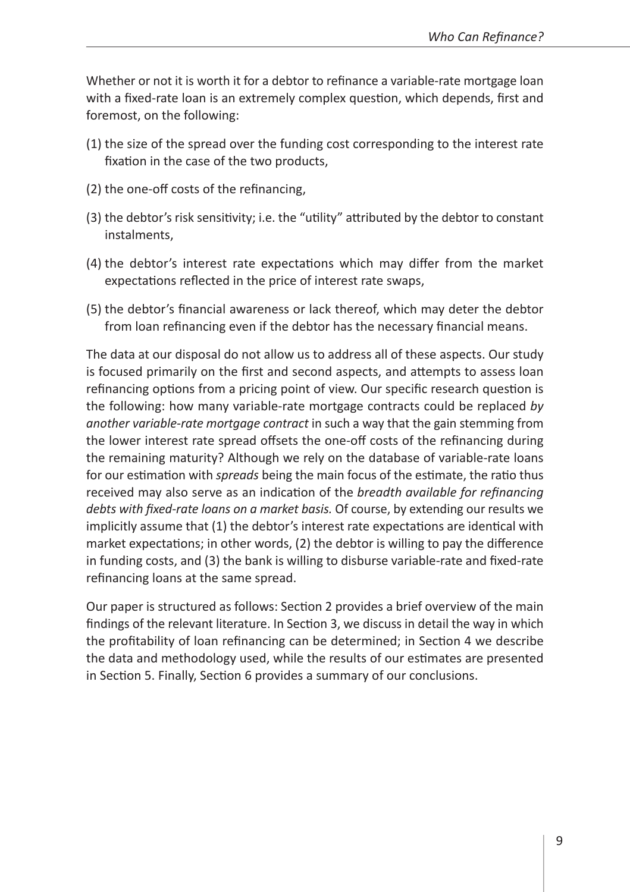Whether or not it is worth it for a debtor to refinance a variable-rate mortgage loan with a fixed-rate loan is an extremely complex question, which depends, first and foremost, on the following:

- (1) the size of the spread over the funding cost corresponding to the interest rate fixation in the case of the two products,
- (2) the one-off costs of the refinancing,
- (3) the debtor's risk sensitivity; i.e. the "utility" attributed by the debtor to constant instalments,
- (4) the debtor's interest rate expectations which may differ from the market expectations reflected in the price of interest rate swaps,
- (5) the debtor's financial awareness or lack thereof, which may deter the debtor from loan refinancing even if the debtor has the necessary financial means.

The data at our disposal do not allow us to address all of these aspects. Our study is focused primarily on the first and second aspects, and attempts to assess loan refinancing options from a pricing point of view. Our specific research question is the following: how many variable-rate mortgage contracts could be replaced *by another variable-rate mortgage contract* in such a way that the gain stemming from the lower interest rate spread offsets the one-off costs of the refinancing during the remaining maturity? Although we rely on the database of variable-rate loans for our estimation with *spreads* being the main focus of the estimate, the ratio thus received may also serve as an indication of the *breadth available for refinancing debts with fixed-rate loans on a market basis.* Of course, by extending our results we implicitly assume that (1) the debtor's interest rate expectations are identical with market expectations; in other words, (2) the debtor is willing to pay the difference in funding costs, and (3) the bank is willing to disburse variable-rate and fixed-rate refinancing loans at the same spread.

Our paper is structured as follows: Section 2 provides a brief overview of the main findings of the relevant literature. In Section 3, we discuss in detail the way in which the profitability of loan refinancing can be determined; in Section 4 we describe the data and methodology used, while the results of our estimates are presented in Section 5. Finally, Section 6 provides a summary of our conclusions.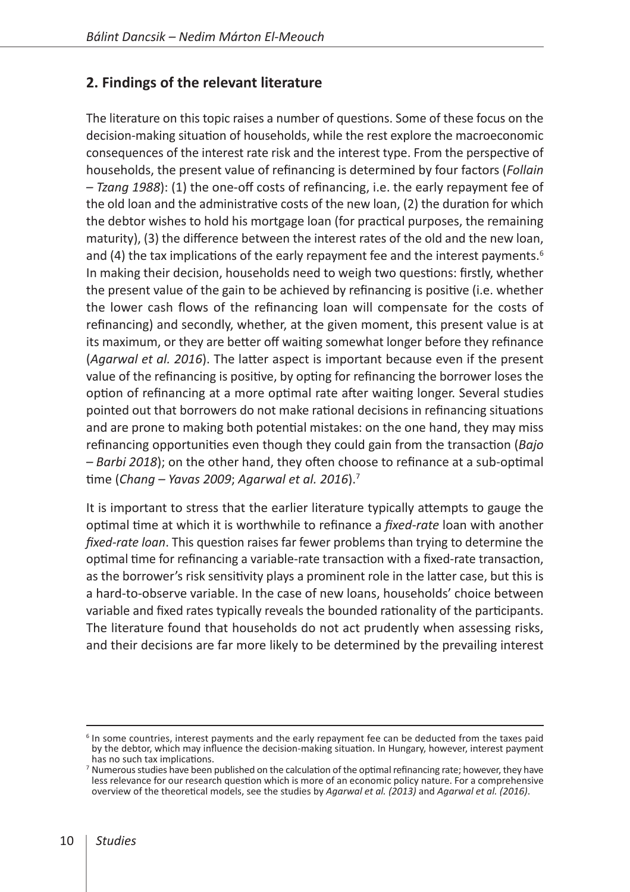# **2. Findings of the relevant literature**

The literature on this topic raises a number of questions. Some of these focus on the decision-making situation of households, while the rest explore the macroeconomic consequences of the interest rate risk and the interest type. From the perspective of households, the present value of refinancing is determined by four factors (*Follain – Tzang 1988*): (1) the one-off costs of refinancing, i.e. the early repayment fee of the old loan and the administrative costs of the new loan, (2) the duration for which the debtor wishes to hold his mortgage loan (for practical purposes, the remaining maturity), (3) the difference between the interest rates of the old and the new loan, and (4) the tax implications of the early repayment fee and the interest payments.<sup>6</sup> In making their decision, households need to weigh two questions: firstly, whether the present value of the gain to be achieved by refinancing is positive (i.e. whether the lower cash flows of the refinancing loan will compensate for the costs of refinancing) and secondly, whether, at the given moment, this present value is at its maximum, or they are better off waiting somewhat longer before they refinance (*Agarwal et al. 2016*). The latter aspect is important because even if the present value of the refinancing is positive, by opting for refinancing the borrower loses the option of refinancing at a more optimal rate after waiting longer. Several studies pointed out that borrowers do not make rational decisions in refinancing situations and are prone to making both potential mistakes: on the one hand, they may miss refinancing opportunities even though they could gain from the transaction (*Bajo – Barbi 2018*); on the other hand, they often choose to refinance at a sub-optimal time (*Chang – Yavas 2009*; *Agarwal et al. 2016*).7

It is important to stress that the earlier literature typically attempts to gauge the optimal time at which it is worthwhile to refinance a *fixed-rate* loan with another *fixed-rate loan*. This question raises far fewer problems than trying to determine the optimal time for refinancing a variable-rate transaction with a fixed-rate transaction, as the borrower's risk sensitivity plays a prominent role in the latter case, but this is a hard-to-observe variable. In the case of new loans, households' choice between variable and fixed rates typically reveals the bounded rationality of the participants. The literature found that households do not act prudently when assessing risks, and their decisions are far more likely to be determined by the prevailing interest

<sup>&</sup>lt;sup>6</sup> In some countries, interest payments and the early repayment fee can be deducted from the taxes paid by the debtor, which may influence the decision-making situation. In Hungary, however, interest payment has no such tax implications.

<sup>7</sup> Numerous studies have been published on the calculation of the optimal refinancing rate; however, they have less relevance for our research question which is more of an economic policy nature. For a comprehensive overview of the theoretical models, see the studies by *Agarwal et al. (2013)* and *Agarwal et al. (2016)*.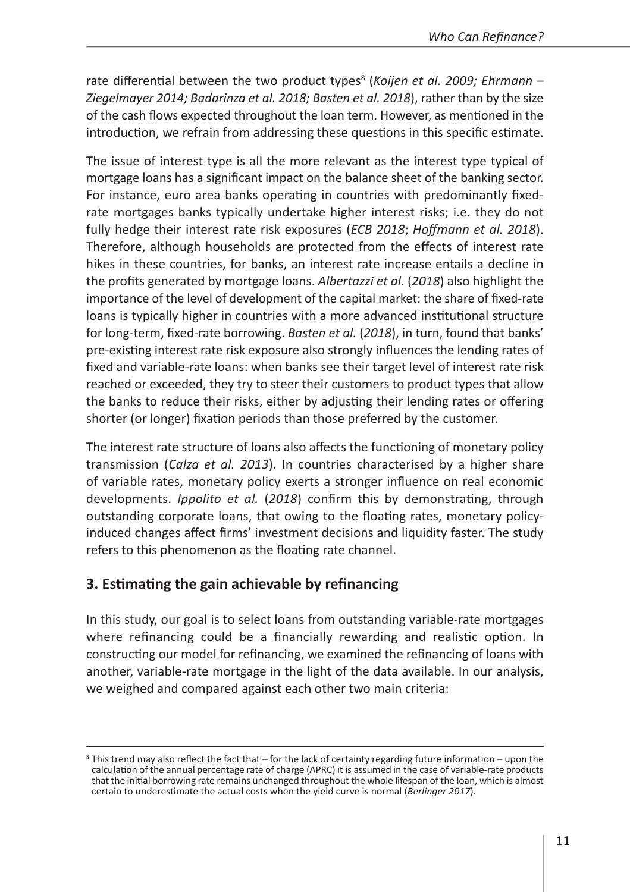rate differential between the two product types<sup>8</sup> (Koijen et al. 2009; Ehrmann – *Ziegelmayer 2014; Badarinza et al. 2018; Basten et al. 2018*), rather than by the size of the cash flows expected throughout the loan term. However, as mentioned in the introduction, we refrain from addressing these questions in this specific estimate.

The issue of interest type is all the more relevant as the interest type typical of mortgage loans has a significant impact on the balance sheet of the banking sector. For instance, euro area banks operating in countries with predominantly fixedrate mortgages banks typically undertake higher interest risks; i.e. they do not fully hedge their interest rate risk exposures (*ECB 2018*; *Hoffmann et al. 2018*). Therefore, although households are protected from the effects of interest rate hikes in these countries, for banks, an interest rate increase entails a decline in the profits generated by mortgage loans. *Albertazzi et al.* (*2018*) also highlight the importance of the level of development of the capital market: the share of fixed-rate loans is typically higher in countries with a more advanced institutional structure for long-term, fixed-rate borrowing. *Basten et al.* (*2018*), in turn, found that banks' pre-existing interest rate risk exposure also strongly influences the lending rates of fixed and variable-rate loans: when banks see their target level of interest rate risk reached or exceeded, they try to steer their customers to product types that allow the banks to reduce their risks, either by adjusting their lending rates or offering shorter (or longer) fixation periods than those preferred by the customer.

The interest rate structure of loans also affects the functioning of monetary policy transmission (*Calza et al. 2013*). In countries characterised by a higher share of variable rates, monetary policy exerts a stronger influence on real economic developments. *Ippolito et al.* (*2018*) confirm this by demonstrating, through outstanding corporate loans, that owing to the floating rates, monetary policyinduced changes affect firms' investment decisions and liquidity faster. The study refers to this phenomenon as the floating rate channel.

# **3. Estimating the gain achievable by refinancing**

In this study, our goal is to select loans from outstanding variable-rate mortgages where refinancing could be a financially rewarding and realistic option. In constructing our model for refinancing, we examined the refinancing of loans with another, variable-rate mortgage in the light of the data available. In our analysis, we weighed and compared against each other two main criteria:

<sup>8</sup> This trend may also reflect the fact that – for the lack of certainty regarding future information – upon the calculation of the annual percentage rate of charge (APRC) it is assumed in the case of variable-rate products that the initial borrowing rate remains unchanged throughout the whole lifespan of the loan, which is almost certain to underestimate the actual costs when the yield curve is normal (*Berlinger 2017*).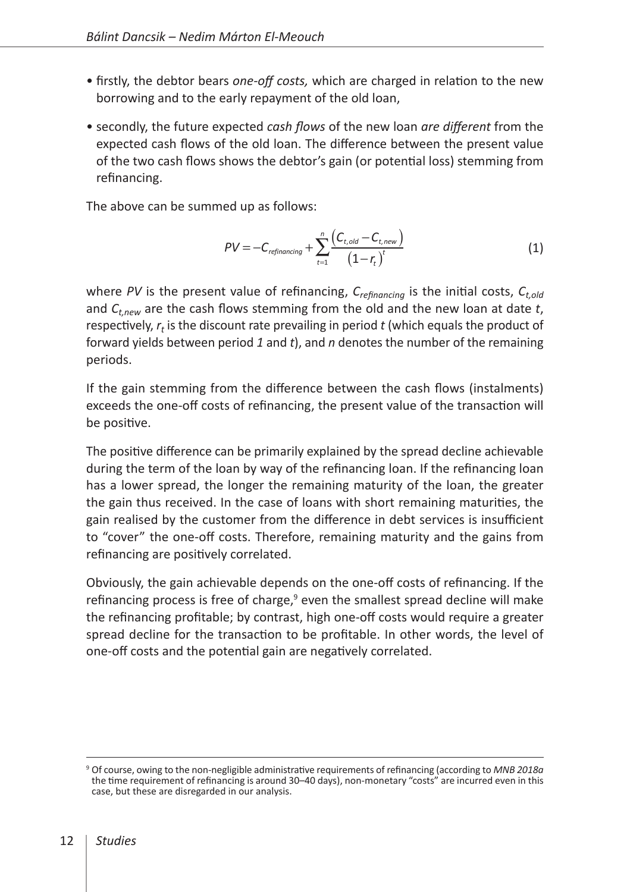- firstly, the debtor bears *one-off costs,* which are charged in relation to the new borrowing and to the early repayment of the old loan,
- secondly, the future expected *cash flows* of the new loan *are different* from the expected cash flows of the old loan. The difference between the present value of the two cash flows shows the debtor's gain (or potential loss) stemming from refinancing.

The above can be summed up as follows:

$$
PV = -C_{refinancing} + \sum_{t=1}^{n} \frac{(C_{t, old} - C_{t, new})}{(1 - r_t)^t}
$$
(1)

where *PV* is the present value of refinancing, *Crefinancing* is the initial costs, *Ct,old* and *Ct,new* are the cash flows stemming from the old and the new loan at date *t*, respectively,  $r_t$  is the discount rate prevailing in period t (which equals the product of forward yields between period *1* and *t*), and *n* denotes the number of the remaining periods.

If the gain stemming from the difference between the cash flows (instalments) exceeds the one-off costs of refinancing, the present value of the transaction will be positive.

The positive difference can be primarily explained by the spread decline achievable during the term of the loan by way of the refinancing loan. If the refinancing loan has a lower spread, the longer the remaining maturity of the loan, the greater the gain thus received. In the case of loans with short remaining maturities, the gain realised by the customer from the difference in debt services is insufficient to "cover" the one-off costs. Therefore, remaining maturity and the gains from refinancing are positively correlated.

Obviously, the gain achievable depends on the one-off costs of refinancing. If the refinancing process is free of charge,<sup>9</sup> even the smallest spread decline will make the refinancing profitable; by contrast, high one-off costs would require a greater spread decline for the transaction to be profitable. In other words, the level of one-off costs and the potential gain are negatively correlated.

<sup>9</sup> Of course, owing to the non-negligible administrative requirements of refinancing (according to *MNB 2018a* the time requirement of refinancing is around 30–40 days), non-monetary "costs" are incurred even in this case, but these are disregarded in our analysis.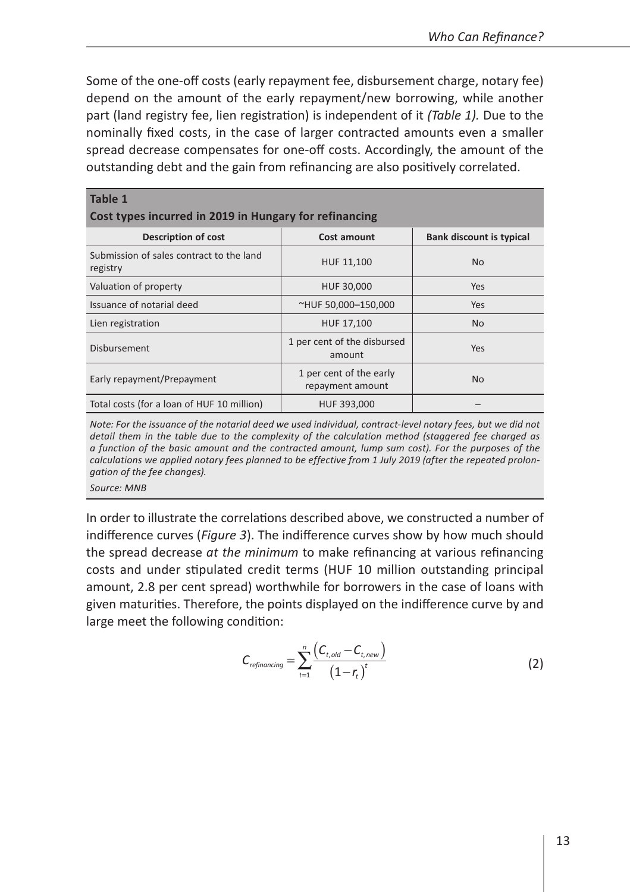Some of the one-off costs (early repayment fee, disbursement charge, notary fee) depend on the amount of the early repayment/new borrowing, while another part (land registry fee, lien registration) is independent of it *(Table 1).* Due to the nominally fixed costs, in the case of larger contracted amounts even a smaller spread decrease compensates for one-off costs. Accordingly, the amount of the outstanding debt and the gain from refinancing are also positively correlated.

| Table 1<br>Cost types incurred in 2019 in Hungary for refinancing |                                             |                                 |
|-------------------------------------------------------------------|---------------------------------------------|---------------------------------|
| Description of cost                                               | Cost amount                                 | <b>Bank discount is typical</b> |
| Submission of sales contract to the land<br>registry              | HUF 11,100                                  | <b>No</b>                       |
| Valuation of property                                             | HUF 30,000                                  | <b>Yes</b>                      |
| Issuance of notarial deed                                         | ~HUF 50,000-150,000                         | Yes.                            |
| Lien registration                                                 | HUF 17,100                                  | N <sub>0</sub>                  |
| Disbursement                                                      | 1 per cent of the disbursed<br>amount       | Yes                             |
| Early repayment/Prepayment                                        | 1 per cent of the early<br>repayment amount | <b>No</b>                       |
| Total costs (for a loan of HUF 10 million)                        | HUF 393,000                                 |                                 |

*Note: For the issuance of the notarial deed we used individual, contract-level notary fees, but we did not detail them in the table due to the complexity of the calculation method (staggered fee charged as a function of the basic amount and the contracted amount, lump sum cost). For the purposes of the calculations we applied notary fees planned to be effective from 1 July 2019 (after the repeated prolongation of the fee changes).*

*Source: MNB*

In order to illustrate the correlations described above, we constructed a number of indifference curves (*Figure 3*). The indifference curves show by how much should the spread decrease *at the minimum* to make refinancing at various refinancing costs and under stipulated credit terms (HUF 10 million outstanding principal amount, 2.8 per cent spread) worthwhile for borrowers in the case of loans with given maturities. Therefore, the points displayed on the indifference curve by and large meet the following condition:

$$
C_{refinancing} = \sum_{t=1}^{n} \frac{\left(C_{t,old} - C_{t,new}\right)}{\left(1 - r_t\right)^t}
$$
\n(2)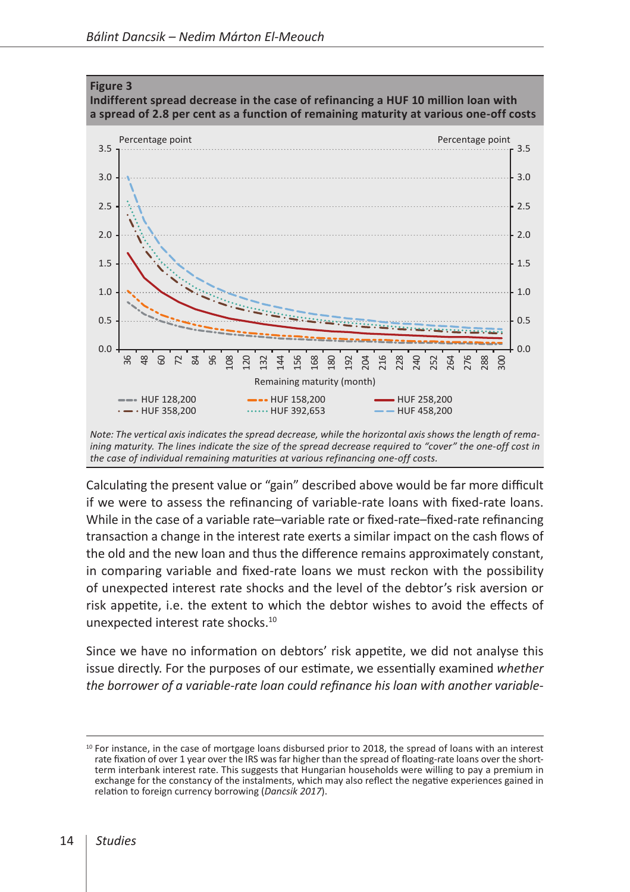

*Note: The vertical axis indicates the spread decrease, while the horizontal axis shows the length of remaining maturity. The lines indicate the size of the spread decrease required to "cover" the one-off cost in the case of individual remaining maturities at various refinancing one-off costs.*

Calculating the present value or "gain" described above would be far more difficult if we were to assess the refinancing of variable-rate loans with fixed-rate loans. While in the case of a variable rate–variable rate or fixed-rate–fixed-rate refinancing transaction a change in the interest rate exerts a similar impact on the cash flows of the old and the new loan and thus the difference remains approximately constant, in comparing variable and fixed-rate loans we must reckon with the possibility of unexpected interest rate shocks and the level of the debtor's risk aversion or risk appetite, i.e. the extent to which the debtor wishes to avoid the effects of unexpected interest rate shocks.10

Since we have no information on debtors' risk appetite, we did not analyse this issue directly. For the purposes of our estimate, we essentially examined *whether the borrower of a variable-rate loan could refinance his loan with another variable-*

 $10$  For instance, in the case of mortgage loans disbursed prior to 2018, the spread of loans with an interest rate fixation of over 1 year over the IRS was far higher than the spread of floating-rate loans over the shortterm interbank interest rate. This suggests that Hungarian households were willing to pay a premium in exchange for the constancy of the instalments, which may also reflect the negative experiences gained in relation to foreign currency borrowing (*Dancsik 2017*).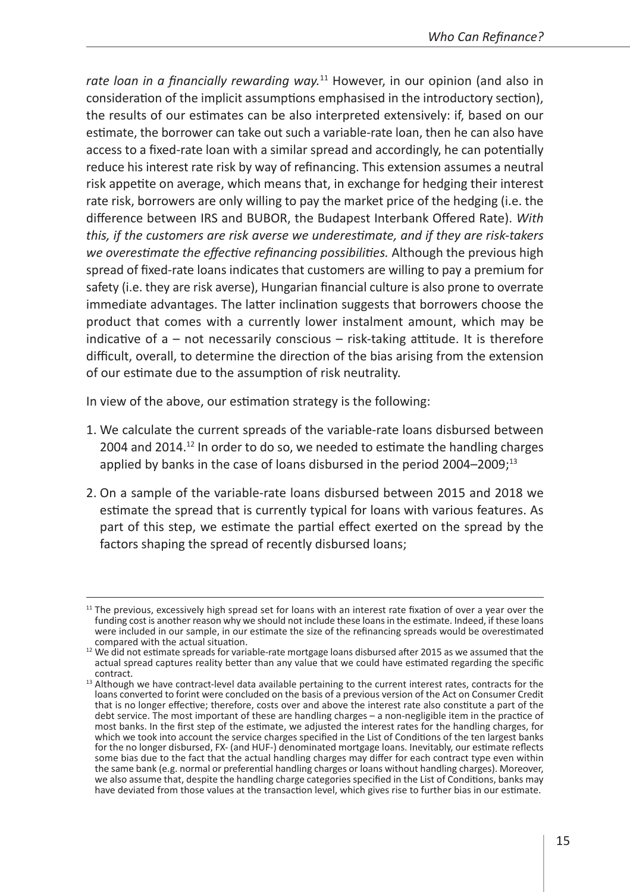*rate loan in a financially rewarding way.*11 However, in our opinion (and also in consideration of the implicit assumptions emphasised in the introductory section), the results of our estimates can be also interpreted extensively: if, based on our estimate, the borrower can take out such a variable-rate loan, then he can also have access to a fixed-rate loan with a similar spread and accordingly, he can potentially reduce his interest rate risk by way of refinancing. This extension assumes a neutral risk appetite on average, which means that, in exchange for hedging their interest rate risk, borrowers are only willing to pay the market price of the hedging (i.e. the difference between IRS and BUBOR, the Budapest Interbank Offered Rate). *With this, if the customers are risk averse we underestimate, and if they are risk-takers we overestimate the effective refinancing possibilities.* Although the previous high spread of fixed-rate loans indicates that customers are willing to pay a premium for safety (i.e. they are risk averse), Hungarian financial culture is also prone to overrate immediate advantages. The latter inclination suggests that borrowers choose the product that comes with a currently lower instalment amount, which may be indicative of a – not necessarily conscious – risk-taking attitude. It is therefore difficult, overall, to determine the direction of the bias arising from the extension of our estimate due to the assumption of risk neutrality.

In view of the above, our estimation strategy is the following:

- 1. We calculate the current spreads of the variable-rate loans disbursed between 2004 and 2014.<sup>12</sup> In order to do so, we needed to estimate the handling charges applied by banks in the case of loans disbursed in the period  $2004-2009$ ;<sup>13</sup>
- 2. On a sample of the variable-rate loans disbursed between 2015 and 2018 we estimate the spread that is currently typical for loans with various features. As part of this step, we estimate the partial effect exerted on the spread by the factors shaping the spread of recently disbursed loans;

 $11$  The previous, excessively high spread set for loans with an interest rate fixation of over a year over the funding cost is another reason why we should not include these loans in the estimate. Indeed, if these loans were included in our sample, in our estimate the size of the refinancing spreads would be overestimated compared with the actual situation.

<sup>&</sup>lt;sup>12</sup> We did not estimate spreads for variable-rate mortgage loans disbursed after 2015 as we assumed that the actual spread captures reality better than any value that we could have estimated regarding the specific

<sup>&</sup>lt;sup>13</sup> Although we have contract-level data available pertaining to the current interest rates, contracts for the loans converted to forint were concluded on the basis of a previous version of the Act on Consumer Credit that is no longer effective; therefore, costs over and above the interest rate also constitute a part of the debt service. The most important of these are handling charges – a non-negligible item in the practice of most banks. In the first step of the estimate, we adjusted the interest rates for the handling charges, for which we took into account the service charges specified in the List of Conditions of the ten largest banks for the no longer disbursed, FX- (and HUF-) denominated mortgage loans. Inevitably, our estimate reflects some bias due to the fact that the actual handling charges may differ for each contract type even within the same bank (e.g. normal or preferential handling charges or loans without handling charges). Moreover, we also assume that, despite the handling charge categories specified in the List of Conditions, banks may have deviated from those values at the transaction level, which gives rise to further bias in our estimate.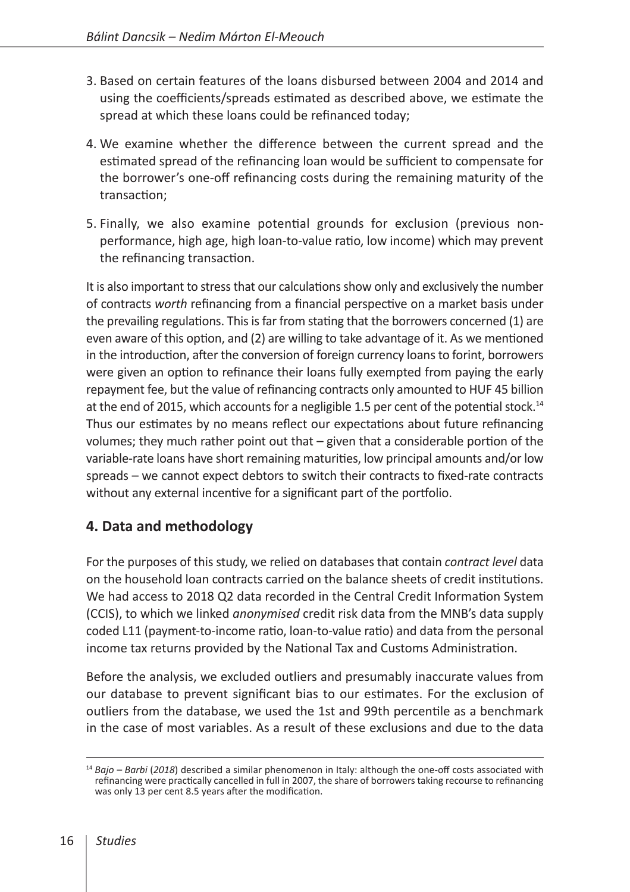- 3. Based on certain features of the loans disbursed between 2004 and 2014 and using the coefficients/spreads estimated as described above, we estimate the spread at which these loans could be refinanced today;
- 4. We examine whether the difference between the current spread and the estimated spread of the refinancing loan would be sufficient to compensate for the borrower's one-off refinancing costs during the remaining maturity of the transaction;
- 5. Finally, we also examine potential grounds for exclusion (previous nonperformance, high age, high loan-to-value ratio, low income) which may prevent the refinancing transaction.

It is also important to stress that our calculations show only and exclusively the number of contracts *worth* refinancing from a financial perspective on a market basis under the prevailing regulations. This is far from stating that the borrowers concerned (1) are even aware of this option, and (2) are willing to take advantage of it. As we mentioned in the introduction, after the conversion of foreign currency loans to forint, borrowers were given an option to refinance their loans fully exempted from paying the early repayment fee, but the value of refinancing contracts only amounted to HUF 45 billion at the end of 2015, which accounts for a negligible 1.5 per cent of the potential stock.<sup>14</sup> Thus our estimates by no means reflect our expectations about future refinancing volumes; they much rather point out that – given that a considerable portion of the variable-rate loans have short remaining maturities, low principal amounts and/or low spreads – we cannot expect debtors to switch their contracts to fixed-rate contracts without any external incentive for a significant part of the portfolio.

# **4. Data and methodology**

For the purposes of this study, we relied on databases that contain *contract level* data on the household loan contracts carried on the balance sheets of credit institutions. We had access to 2018 Q2 data recorded in the Central Credit Information System (CCIS), to which we linked *anonymised* credit risk data from the MNB's data supply coded L11 (payment-to-income ratio, loan-to-value ratio) and data from the personal income tax returns provided by the National Tax and Customs Administration.

Before the analysis, we excluded outliers and presumably inaccurate values from our database to prevent significant bias to our estimates. For the exclusion of outliers from the database, we used the 1st and 99th percentile as a benchmark in the case of most variables. As a result of these exclusions and due to the data

<sup>14</sup> *Bajo – Barbi* (*2018*) described a similar phenomenon in Italy: although the one-off costs associated with refinancing were practically cancelled in full in 2007, the share of borrowers taking recourse to refinancing was only 13 per cent 8.5 years after the modification.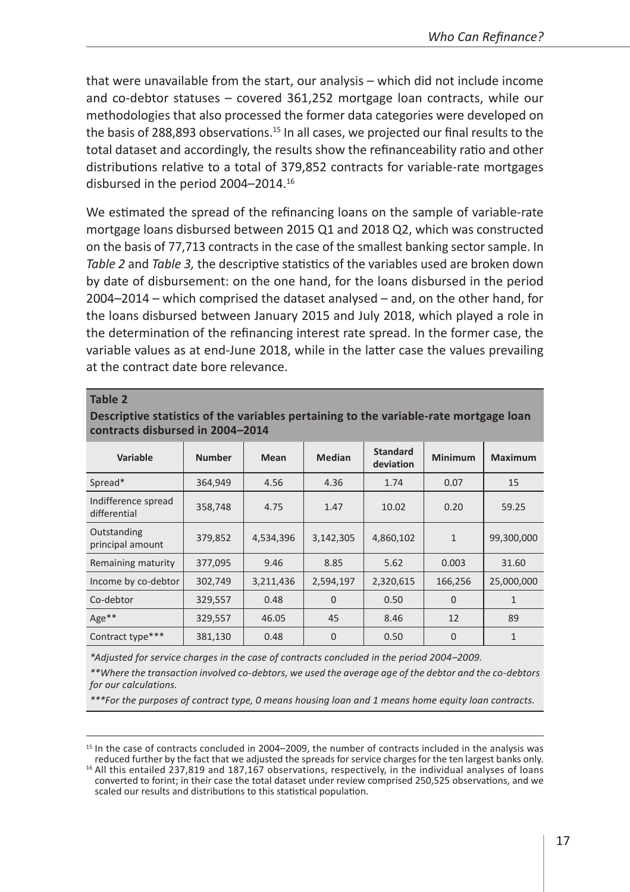that were unavailable from the start, our analysis – which did not include income and co-debtor statuses – covered 361,252 mortgage loan contracts, while our methodologies that also processed the former data categories were developed on the basis of 288,893 observations.<sup>15</sup> In all cases, we projected our final results to the total dataset and accordingly, the results show the refinanceability ratio and other distributions relative to a total of 379,852 contracts for variable-rate mortgages disbursed in the period 2004–2014.16

We estimated the spread of the refinancing loans on the sample of variable-rate mortgage loans disbursed between 2015 Q1 and 2018 Q2, which was constructed on the basis of 77,713 contracts in the case of the smallest banking sector sample. In *Table 2* and *Table 3,* the descriptive statistics of the variables used are broken down by date of disbursement: on the one hand, for the loans disbursed in the period 2004–2014 – which comprised the dataset analysed – and, on the other hand, for the loans disbursed between January 2015 and July 2018, which played a role in the determination of the refinancing interest rate spread. In the former case, the variable values as at end-June 2018, while in the latter case the values prevailing at the contract date bore relevance.

#### **Table 2**

| Descriptive statistics of the variables pertaining to the variable-rate mortgage loan |
|---------------------------------------------------------------------------------------|
| contracts disbursed in 2004-2014                                                      |

| Variable                            | <b>Number</b> | Mean      | Median       | <b>Standard</b><br>deviation | Minimum      | Maximum      |
|-------------------------------------|---------------|-----------|--------------|------------------------------|--------------|--------------|
| Spread*                             | 364,949       | 4.56      | 4.36         | 1.74                         | 0.07         | 15           |
| Indifference spread<br>differential | 358,748       | 4.75      | 1.47         | 10.02                        | 0.20         | 59.25        |
| Outstanding<br>principal amount     | 379,852       | 4,534,396 | 3,142,305    | 4,860,102                    | $\mathbf{1}$ | 99,300,000   |
| Remaining maturity                  | 377,095       | 9.46      | 8.85         | 5.62                         | 0.003        | 31.60        |
| Income by co-debtor                 | 302,749       | 3,211,436 | 2,594,197    | 2,320,615                    | 166,256      | 25,000,000   |
| Co-debtor                           | 329,557       | 0.48      | $\Omega$     | 0.50                         | $\Omega$     | $\mathbf{1}$ |
| Age**                               | 329,557       | 46.05     | 45           | 8.46                         | 12           | 89           |
| Contract type***                    | 381,130       | 0.48      | $\mathbf{0}$ | 0.50                         | $\Omega$     | 1            |

*\*Adjusted for service charges in the case of contracts concluded in the period 2004–2009.*

*\*\*Where the transaction involved co-debtors, we used the average age of the debtor and the co-debtors for our calculations.*

*\*\*\*For the purposes of contract type, 0 means housing loan and 1 means home equity loan contracts.*

 $15$  In the case of contracts concluded in 2004–2009, the number of contracts included in the analysis was reduced further by the fact that we adjusted the spreads for service charges for the ten largest banks only.

 $16$  All this entailed 237,819 and 187,167 observations, respectively, in the individual analyses of loans converted to forint; in their case the total dataset under review comprised 250,525 observations, and we scaled our results and distributions to this statistical population.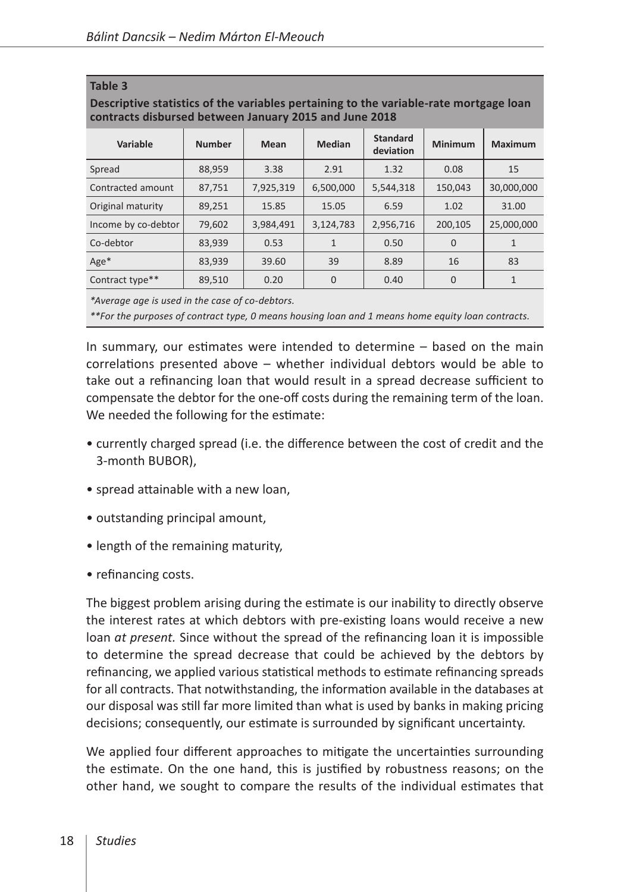**Table 3**

| contracts disbursed between January 2015 and June 2018 |               |           |                |                              |          |              |
|--------------------------------------------------------|---------------|-----------|----------------|------------------------------|----------|--------------|
| Variable                                               | <b>Number</b> | Mean      | Median         | <b>Standard</b><br>deviation | Minimum  | Maximum      |
| Spread                                                 | 88.959        | 3.38      | 2.91           | 1.32                         | 0.08     | 15           |
| Contracted amount                                      | 87,751        | 7,925,319 | 6,500,000      | 5,544,318                    | 150,043  | 30,000,000   |
| Original maturity                                      | 89.251        | 15.85     | 15.05          | 6.59                         | 1.02     | 31.00        |
| Income by co-debtor                                    | 79.602        | 3,984,491 | 3,124,783      | 2,956,716                    | 200.105  | 25.000.000   |
| Co-debtor                                              | 83,939        | 0.53      | $\mathbf{1}$   | 0.50                         | $\Omega$ | 1            |
| $Age*$                                                 | 83.939        | 39.60     | 39             | 8.89                         | 16       | 83           |
| Contract type**                                        | 89.510        | 0.20      | $\overline{0}$ | 0.40                         | $\Omega$ | $\mathbf{1}$ |

**Descriptive statistics of the variables pertaining to the variable-rate mortgage loan** 

*\*Average age is used in the case of co-debtors.*

*\*\*For the purposes of contract type, 0 means housing loan and 1 means home equity loan contracts.*

In summary, our estimates were intended to determine – based on the main correlations presented above – whether individual debtors would be able to take out a refinancing loan that would result in a spread decrease sufficient to compensate the debtor for the one-off costs during the remaining term of the loan. We needed the following for the estimate:

- currently charged spread (i.e. the difference between the cost of credit and the 3-month BUBOR),
- spread attainable with a new loan,
- outstanding principal amount,
- length of the remaining maturity,
- refinancing costs.

The biggest problem arising during the estimate is our inability to directly observe the interest rates at which debtors with pre-existing loans would receive a new loan *at present.* Since without the spread of the refinancing loan it is impossible to determine the spread decrease that could be achieved by the debtors by refinancing, we applied various statistical methods to estimate refinancing spreads for all contracts. That notwithstanding, the information available in the databases at our disposal was still far more limited than what is used by banks in making pricing decisions; consequently, our estimate is surrounded by significant uncertainty.

We applied four different approaches to mitigate the uncertainties surrounding the estimate. On the one hand, this is justified by robustness reasons; on the other hand, we sought to compare the results of the individual estimates that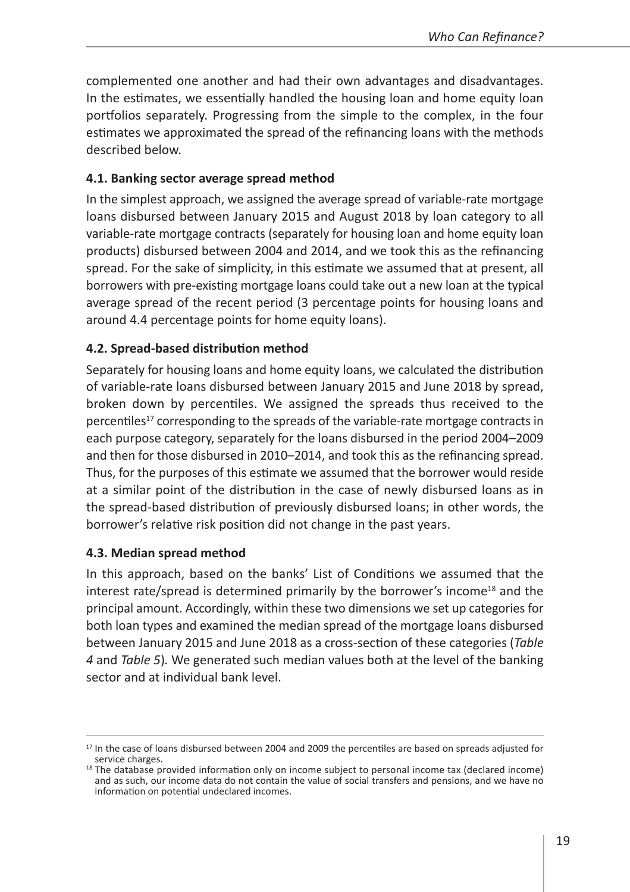complemented one another and had their own advantages and disadvantages. In the estimates, we essentially handled the housing loan and home equity loan portfolios separately. Progressing from the simple to the complex, in the four estimates we approximated the spread of the refinancing loans with the methods described below.

### **4.1. Banking sector average spread method**

In the simplest approach, we assigned the average spread of variable-rate mortgage loans disbursed between January 2015 and August 2018 by loan category to all variable-rate mortgage contracts (separately for housing loan and home equity loan products) disbursed between 2004 and 2014, and we took this as the refinancing spread. For the sake of simplicity, in this estimate we assumed that at present, all borrowers with pre-existing mortgage loans could take out a new loan at the typical average spread of the recent period (3 percentage points for housing loans and around 4.4 percentage points for home equity loans).

### **4.2. Spread-based distribution method**

Separately for housing loans and home equity loans, we calculated the distribution of variable-rate loans disbursed between January 2015 and June 2018 by spread, broken down by percentiles. We assigned the spreads thus received to the percentiles17 corresponding to the spreads of the variable-rate mortgage contracts in each purpose category, separately for the loans disbursed in the period 2004–2009 and then for those disbursed in 2010–2014, and took this as the refinancing spread. Thus, for the purposes of this estimate we assumed that the borrower would reside at a similar point of the distribution in the case of newly disbursed loans as in the spread-based distribution of previously disbursed loans; in other words, the borrower's relative risk position did not change in the past years.

### **4.3. Median spread method**

In this approach, based on the banks' List of Conditions we assumed that the interest rate/spread is determined primarily by the borrower's income<sup>18</sup> and the principal amount. Accordingly, within these two dimensions we set up categories for both loan types and examined the median spread of the mortgage loans disbursed between January 2015 and June 2018 as a cross-section of these categories (*Table 4* and *Table 5*)*.* We generated such median values both at the level of the banking sector and at individual bank level.

<sup>&</sup>lt;sup>17</sup> In the case of loans disbursed between 2004 and 2009 the percentiles are based on spreads adjusted for service charges.<br><sup>18</sup> The database provided information only on income subject to personal income tax (declared income)

and as such, our income data do not contain the value of social transfers and pensions, and we have no information on potential undeclared incomes.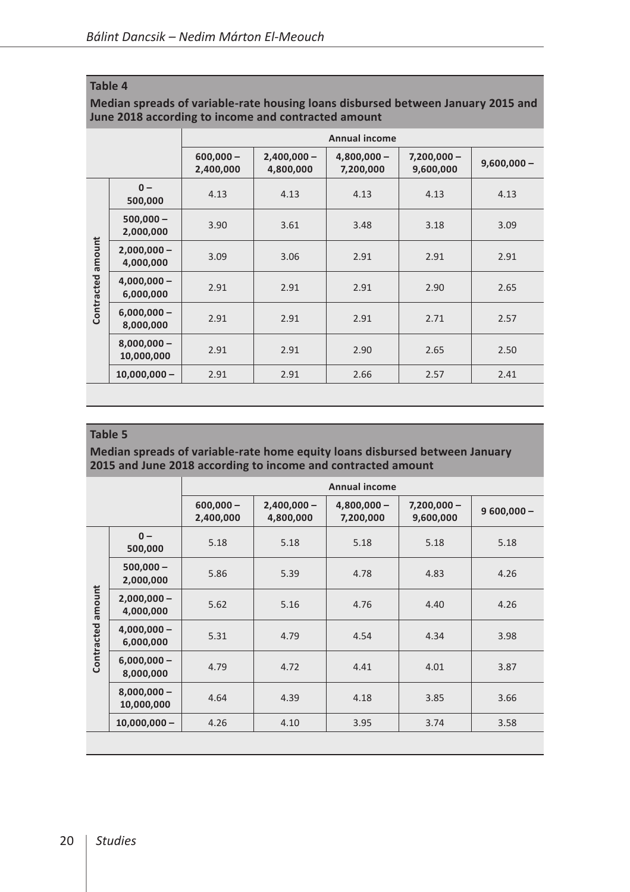#### **Table 4**

#### **Median spreads of variable-rate housing loans disbursed between January 2015 and June 2018 according to income and contracted amount**

|                   |                             |                          |                            | <b>Annual income</b>       |                            |               |
|-------------------|-----------------------------|--------------------------|----------------------------|----------------------------|----------------------------|---------------|
|                   |                             | $600,000 -$<br>2,400,000 | $2,400,000 -$<br>4,800,000 | $4,800,000 -$<br>7,200,000 | $7,200,000 -$<br>9,600,000 | $9,600,000 -$ |
|                   | $0 -$<br>500,000            | 4.13                     | 4.13                       | 4.13                       | 4.13                       | 4.13          |
|                   | $500,000 -$<br>2,000,000    | 3.90                     | 3.61                       | 3.48                       | 3.18                       | 3.09          |
| Contracted amount | $2,000,000 -$<br>4,000,000  | 3.09                     | 3.06                       | 2.91                       | 2.91                       | 2.91          |
|                   | $4,000,000 -$<br>6,000,000  | 2.91                     | 2.91                       | 2.91                       | 2.90                       | 2.65          |
|                   | $6,000,000 -$<br>8,000,000  | 2.91                     | 2.91                       | 2.91                       | 2.71                       | 2.57          |
|                   | $8,000,000 -$<br>10,000,000 | 2.91                     | 2.91                       | 2.90                       | 2.65                       | 2.50          |
|                   | $10,000,000 -$              | 2.91                     | 2.91                       | 2.66                       | 2.57                       | 2.41          |

#### **Table 5**

#### **Median spreads of variable-rate home equity loans disbursed between January 2015 and June 2018 according to income and contracted amount**

|            |                             |                          |                            | <b>Annual income</b>       |                            |              |
|------------|-----------------------------|--------------------------|----------------------------|----------------------------|----------------------------|--------------|
|            |                             | $600,000 -$<br>2,400,000 | $2,400,000 -$<br>4,800,000 | $4,800,000 -$<br>7,200,000 | $7,200,000 -$<br>9,600,000 | $9600,000 -$ |
|            | $0 -$<br>500,000            | 5.18                     | 5.18                       | 5.18                       | 5.18                       | 5.18         |
|            | $500,000 -$<br>2,000,000    | 5.86                     | 5.39                       | 4.78                       | 4.83                       | 4.26         |
| amount     | $2,000,000 -$<br>4,000,000  | 5.62                     | 5.16                       | 4.76                       | 4.40                       | 4.26         |
| Contracted | $4,000,000 -$<br>6,000,000  | 5.31                     | 4.79                       | 4.54                       | 4.34                       | 3.98         |
|            | $6,000,000 -$<br>8,000,000  | 4.79                     | 4.72                       | 4.41                       | 4.01                       | 3.87         |
|            | $8,000,000 -$<br>10,000,000 | 4.64                     | 4.39                       | 4.18                       | 3.85                       | 3.66         |
|            | $10,000,000 -$              | 4.26                     | 4.10                       | 3.95                       | 3.74                       | 3.58         |
|            |                             |                          |                            |                            |                            |              |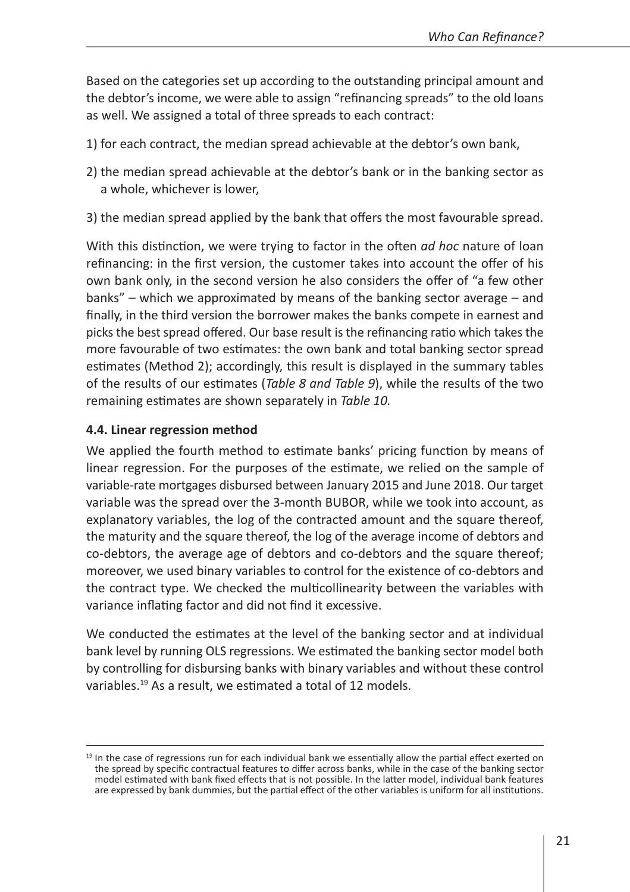Based on the categories set up according to the outstanding principal amount and the debtor's income, we were able to assign "refinancing spreads" to the old loans as well. We assigned a total of three spreads to each contract:

- 1) for each contract, the median spread achievable at the debtor's own bank,
- 2) the median spread achievable at the debtor's bank or in the banking sector as a whole, whichever is lower,
- 3) the median spread applied by the bank that offers the most favourable spread.

With this distinction, we were trying to factor in the often *ad hoc* nature of loan refinancing: in the first version, the customer takes into account the offer of his own bank only, in the second version he also considers the offer of "a few other banks" – which we approximated by means of the banking sector average – and finally, in the third version the borrower makes the banks compete in earnest and picks the best spread offered. Our base result is the refinancing ratio which takes the more favourable of two estimates: the own bank and total banking sector spread estimates (Method 2); accordingly, this result is displayed in the summary tables of the results of our estimates (*Table 8 and Table 9*), while the results of the two remaining estimates are shown separately in *Table 10.*

### **4.4. Linear regression method**

We applied the fourth method to estimate banks' pricing function by means of linear regression. For the purposes of the estimate, we relied on the sample of variable-rate mortgages disbursed between January 2015 and June 2018. Our target variable was the spread over the 3-month BUBOR, while we took into account, as explanatory variables, the log of the contracted amount and the square thereof, the maturity and the square thereof, the log of the average income of debtors and co-debtors, the average age of debtors and co-debtors and the square thereof; moreover, we used binary variables to control for the existence of co-debtors and the contract type. We checked the multicollinearity between the variables with variance inflating factor and did not find it excessive.

We conducted the estimates at the level of the banking sector and at individual bank level by running OLS regressions. We estimated the banking sector model both by controlling for disbursing banks with binary variables and without these control variables.<sup>19</sup> As a result, we estimated a total of 12 models.

<sup>&</sup>lt;sup>19</sup> In the case of regressions run for each individual bank we essentially allow the partial effect exerted on the spread by specific contractual features to differ across banks, while in the case of the banking sector model estimated with bank fixed effects that is not possible. In the latter model, individual bank features are expressed by bank dummies, but the partial effect of the other variables is uniform for all institutions.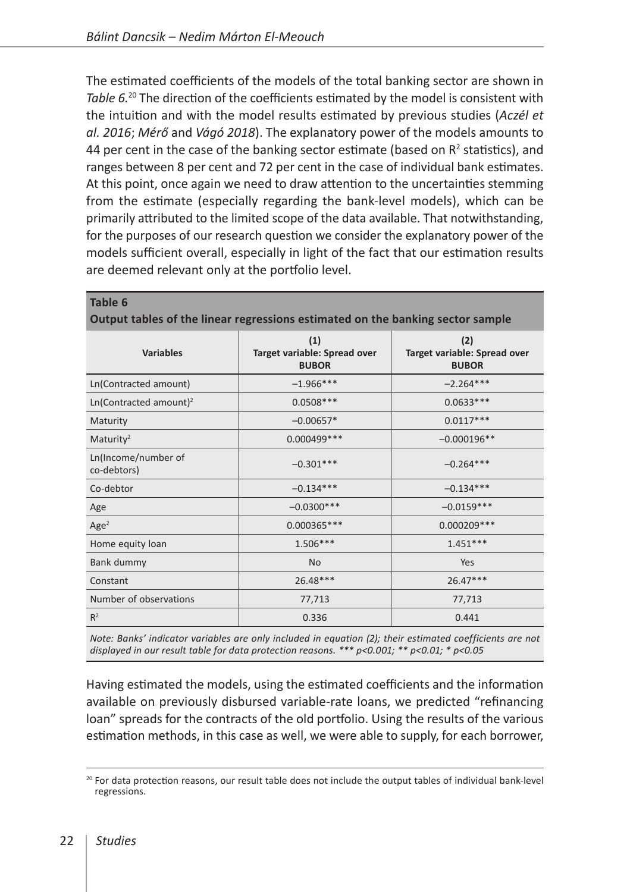The estimated coefficients of the models of the total banking sector are shown in *Table 6.*20 The direction of the coefficients estimated by the model is consistent with the intuition and with the model results estimated by previous studies (*Aczél et al. 2016*; *Mérő* and *Vágó 2018*). The explanatory power of the models amounts to 44 per cent in the case of the banking sector estimate (based on  $R^2$  statistics), and ranges between 8 per cent and 72 per cent in the case of individual bank estimates. At this point, once again we need to draw attention to the uncertainties stemming from the estimate (especially regarding the bank-level models), which can be primarily attributed to the limited scope of the data available. That notwithstanding, for the purposes of our research question we consider the explanatory power of the models sufficient overall, especially in light of the fact that our estimation results are deemed relevant only at the portfolio level.

|                                    | Output tables of the linear regressions estimated on the banking sector sample |                                                     |
|------------------------------------|--------------------------------------------------------------------------------|-----------------------------------------------------|
| <b>Variables</b>                   | (1)<br>Target variable: Spread over<br><b>BUBOR</b>                            | (2)<br>Target variable: Spread over<br><b>BUBOR</b> |
| Ln(Contracted amount)              | $-1.966***$                                                                    | $-2.264***$                                         |
| Ln(Contracted amount) <sup>2</sup> | $0.0508***$                                                                    | $0.0633***$                                         |
| Maturity                           | $-0.00657*$                                                                    | $0.0117***$                                         |
| Maturity <sup>2</sup>              | $0.000499***$                                                                  | $-0.000196**$                                       |
| Ln(Income/number of<br>co-debtors) | $-0.301***$                                                                    | $-0.264***$                                         |
| Co-debtor                          | $-0.134***$                                                                    | $-0.134***$                                         |
| Age                                | $-0.0300***$                                                                   | $-0.0159***$                                        |
| Age <sup>2</sup>                   | $0.000365***$                                                                  | $0.000209***$                                       |
| Home equity loan                   | $1.506***$                                                                     | $1.451***$                                          |
| Bank dummy                         | <b>No</b>                                                                      | Yes                                                 |
| Constant                           | 26.48***                                                                       | $26.47***$                                          |
| Number of observations             | 77,713                                                                         | 77,713                                              |
| $R^2$                              | 0.336                                                                          | 0.441                                               |

**Output tables of the linear regressions estimated on the banking sector sample**

*Note: Banks' indicator variables are only included in equation (2); their estimated coefficients are not displayed in our result table for data protection reasons. \*\*\* p<0.001; \*\* p<0.01; \* p<0.05*

Having estimated the models, using the estimated coefficients and the information available on previously disbursed variable-rate loans, we predicted "refinancing loan" spreads for the contracts of the old portfolio. Using the results of the various estimation methods, in this case as well, we were able to supply, for each borrower,

**Table 6**

<sup>&</sup>lt;sup>20</sup> For data protection reasons, our result table does not include the output tables of individual bank-level regressions.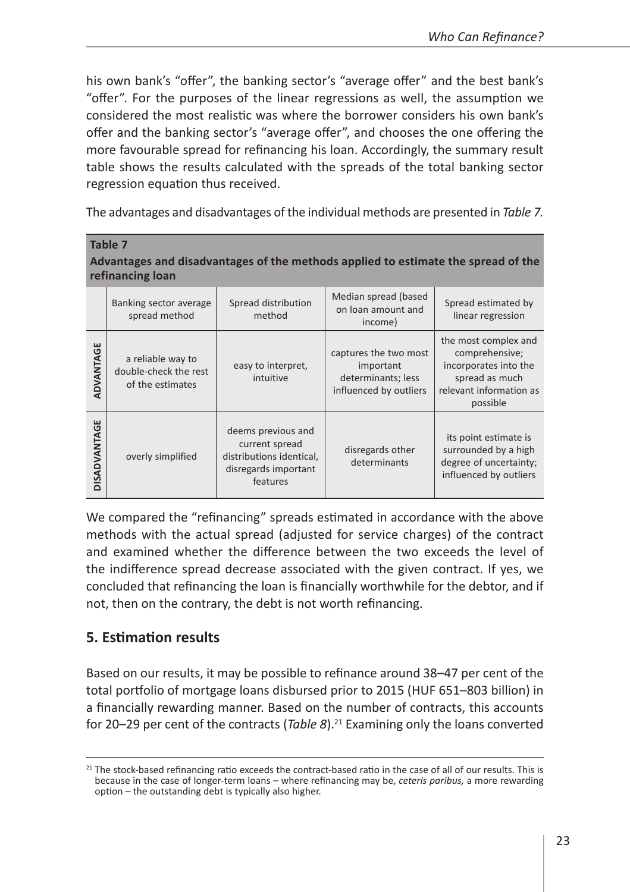his own bank's "offer", the banking sector's "average offer" and the best bank's "offer". For the purposes of the linear regressions as well, the assumption we considered the most realistic was where the borrower considers his own bank's offer and the banking sector's "average offer", and chooses the one offering the more favourable spread for refinancing his loan. Accordingly, the summary result table shows the results calculated with the spreads of the total banking sector regression equation thus received.

The advantages and disadvantages of the individual methods are presented in *Table 7.*

|              | <b>Table 7</b><br>refinancing loan                             |                                                                                                      | Advantages and disadvantages of the methods applied to estimate the spread of the  |                                                                                                                          |
|--------------|----------------------------------------------------------------|------------------------------------------------------------------------------------------------------|------------------------------------------------------------------------------------|--------------------------------------------------------------------------------------------------------------------------|
|              | Banking sector average<br>spread method                        | Spread distribution<br>method                                                                        | Median spread (based<br>on loan amount and<br>income)                              | Spread estimated by<br>linear regression                                                                                 |
| ADVANTAGE    | a reliable way to<br>double-check the rest<br>of the estimates | easy to interpret,<br>intuitive                                                                      | captures the two most<br>important<br>determinants; less<br>influenced by outliers | the most complex and<br>comprehensive;<br>incorporates into the<br>spread as much<br>relevant information as<br>possible |
| DISADVANTAGE | overly simplified                                              | deems previous and<br>current spread<br>distributions identical,<br>disregards important<br>features | disregards other<br>determinants                                                   | its point estimate is<br>surrounded by a high<br>degree of uncertainty;<br>influenced by outliers                        |

We compared the "refinancing" spreads estimated in accordance with the above methods with the actual spread (adjusted for service charges) of the contract and examined whether the difference between the two exceeds the level of the indifference spread decrease associated with the given contract. If yes, we concluded that refinancing the loan is financially worthwhile for the debtor, and if not, then on the contrary, the debt is not worth refinancing.

# **5. Estimation results**

Based on our results, it may be possible to refinance around 38–47 per cent of the total portfolio of mortgage loans disbursed prior to 2015 (HUF 651–803 billion) in a financially rewarding manner. Based on the number of contracts, this accounts for 20-29 per cent of the contracts (*Table 8*).<sup>21</sup> Examining only the loans converted

 $21$  The stock-based refinancing ratio exceeds the contract-based ratio in the case of all of our results. This is because in the case of longer-term loans – where refinancing may be, *ceteris paribus,* a more rewarding option – the outstanding debt is typically also higher.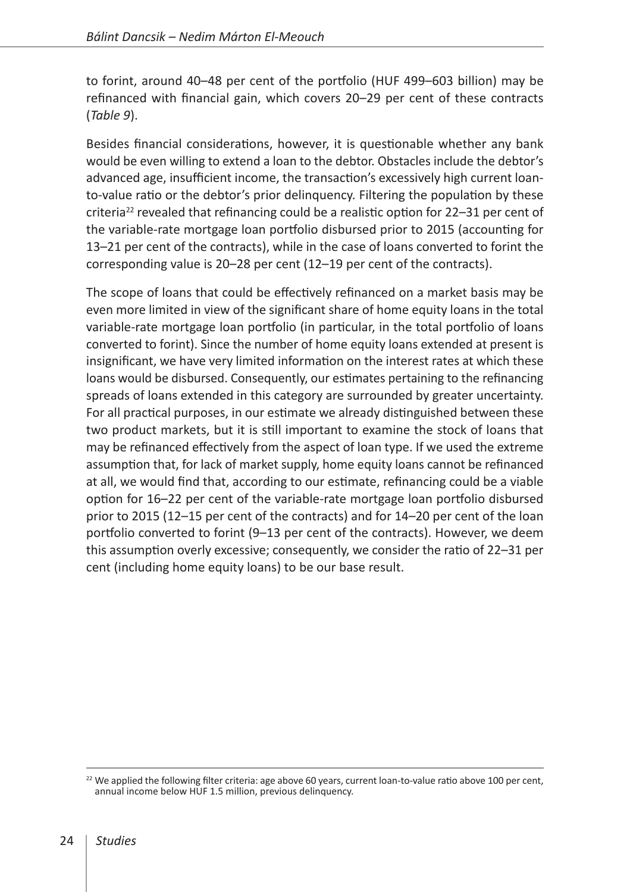to forint, around 40–48 per cent of the portfolio (HUF 499–603 billion) may be refinanced with financial gain, which covers 20–29 per cent of these contracts (*Table 9*).

Besides financial considerations, however, it is questionable whether any bank would be even willing to extend a loan to the debtor. Obstacles include the debtor's advanced age, insufficient income, the transaction's excessively high current loanto-value ratio or the debtor's prior delinquency. Filtering the population by these criteria<sup>22</sup> revealed that refinancing could be a realistic option for  $22-31$  per cent of the variable-rate mortgage loan portfolio disbursed prior to 2015 (accounting for 13–21 per cent of the contracts), while in the case of loans converted to forint the corresponding value is 20–28 per cent (12–19 per cent of the contracts).

The scope of loans that could be effectively refinanced on a market basis may be even more limited in view of the significant share of home equity loans in the total variable-rate mortgage loan portfolio (in particular, in the total portfolio of loans converted to forint). Since the number of home equity loans extended at present is insignificant, we have very limited information on the interest rates at which these loans would be disbursed. Consequently, our estimates pertaining to the refinancing spreads of loans extended in this category are surrounded by greater uncertainty. For all practical purposes, in our estimate we already distinguished between these two product markets, but it is still important to examine the stock of loans that may be refinanced effectively from the aspect of loan type. If we used the extreme assumption that, for lack of market supply, home equity loans cannot be refinanced at all, we would find that, according to our estimate, refinancing could be a viable option for 16–22 per cent of the variable-rate mortgage loan portfolio disbursed prior to 2015 (12–15 per cent of the contracts) and for 14–20 per cent of the loan portfolio converted to forint (9–13 per cent of the contracts). However, we deem this assumption overly excessive; consequently, we consider the ratio of 22–31 per cent (including home equity loans) to be our base result.

 $22$  We applied the following filter criteria: age above 60 years, current loan-to-value ratio above 100 per cent, annual income below HUF 1.5 million, previous delinquency.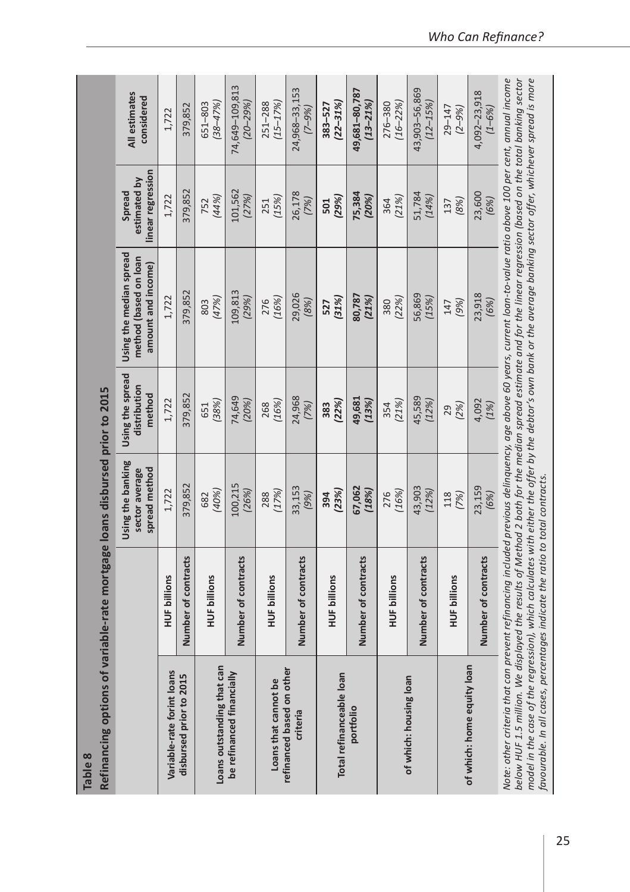| Refinancing options of<br>Table 8                                                                                                                                                                                                                                                                                                                                                                                                                                                                                                                                                             | variable-rate mortgage loans disbursed prior to 2015 |                                                      |                                            |                                                                        |                                             |                                |
|-----------------------------------------------------------------------------------------------------------------------------------------------------------------------------------------------------------------------------------------------------------------------------------------------------------------------------------------------------------------------------------------------------------------------------------------------------------------------------------------------------------------------------------------------------------------------------------------------|------------------------------------------------------|------------------------------------------------------|--------------------------------------------|------------------------------------------------------------------------|---------------------------------------------|--------------------------------|
|                                                                                                                                                                                                                                                                                                                                                                                                                                                                                                                                                                                               |                                                      | Using the banking<br>spread method<br>sector average | Using the spread<br>distribution<br>method | Using the median spread<br>method (based on loan<br>amount and income) | linear regression<br>estimated by<br>Spread | All estimates<br>considered    |
| Variable-rate forint loans                                                                                                                                                                                                                                                                                                                                                                                                                                                                                                                                                                    | <b>HUF billions</b>                                  | 1,722                                                | 1,722                                      | 1,722                                                                  | 1,722                                       | 1,722                          |
| disbursed prior to 2015                                                                                                                                                                                                                                                                                                                                                                                                                                                                                                                                                                       | Number of contracts                                  | 379,852                                              | 379,852                                    | 379,852                                                                | 379,852                                     | 379,852                        |
| Loans outstanding that car                                                                                                                                                                                                                                                                                                                                                                                                                                                                                                                                                                    | <b>HUF billions</b>                                  | (40%)<br>682                                         | (38%)<br>651                               | (47%)<br>803                                                           | (44%<br>752                                 | $(38 - 47%)$<br>651-803        |
| be refinanced financially                                                                                                                                                                                                                                                                                                                                                                                                                                                                                                                                                                     | Number of contracts                                  | 100,215<br>(26%)                                     | 74,649<br>(20%)                            | 109,813<br>(29%)                                                       | 101,562<br>(27%)                            | 74,649-109,813<br>$(20 - 29%)$ |
| Loans that cannot be                                                                                                                                                                                                                                                                                                                                                                                                                                                                                                                                                                          | HUF billions                                         | (17%)<br>288                                         | (16%)<br>268                               | (16%)<br>276                                                           | (15%)<br>251                                | $(15 - 17%)$<br>251-288        |
| refinanced based on other<br>criteria                                                                                                                                                                                                                                                                                                                                                                                                                                                                                                                                                         | Number of contracts                                  | 33,153<br>(9%)                                       | 24,968<br>(7%)                             | 29,026<br>(8%)                                                         | 26,178<br>(7%)                              | 24,968-33,153<br>$(996 - 7)$   |
| Total refinanceable loan                                                                                                                                                                                                                                                                                                                                                                                                                                                                                                                                                                      | <b>HUF billions</b>                                  | (23%)<br>394                                         | (22%)<br>383                               | (31%)<br>527                                                           | (29%)<br>501                                | $(22 - 31%)$<br>383-527        |
| portfolio                                                                                                                                                                                                                                                                                                                                                                                                                                                                                                                                                                                     | Number of contracts                                  | 67,062<br>(18%)                                      | 49,681<br>(13%)                            | 80,787<br>(21%)                                                        | 75,384<br>(20%)                             | 49,681-80,787<br>$(13 - 21%)$  |
|                                                                                                                                                                                                                                                                                                                                                                                                                                                                                                                                                                                               | <b>HUF billions</b>                                  | (16%)<br>276                                         | (21%)<br>354                               | (22%)<br>380                                                           | (21%)<br>364                                | 276-380<br>$(16 - 22%)$        |
| of which: housing loan                                                                                                                                                                                                                                                                                                                                                                                                                                                                                                                                                                        | Number of contracts                                  | 43,903<br>(12%)                                      | 45,589<br>(12%)                            | 56,869<br>(15%)                                                        | 51,784<br>(14%                              | 43,903-56,869<br>$(12 - 15%)$  |
|                                                                                                                                                                                                                                                                                                                                                                                                                                                                                                                                                                                               | <b>HUF billions</b>                                  | 118<br>(7%)                                          | (2%)<br>29                                 | (9%)<br>147                                                            | (8%)<br>137                                 | $29 - 147$<br>$(2 - 9\%)$      |
| of which: home equity loan                                                                                                                                                                                                                                                                                                                                                                                                                                                                                                                                                                    | Number of contracts                                  | 23,159<br>(6%)                                       | 4,092<br>(1%)                              | 23,918<br>(6%)                                                         | 23,600<br>(6%)                              | 4,092-23,918<br>$(1 - 6%)$     |
| Note: other criteria that can prevent refinancing included previous delinquency, age above 60 years, current loan-to-value ratio above 100 per cent, annual income<br>below HUF 1.5 million. We displayed the results of Method 2 both for the median spread estimate and for the linear regression (based on the total banking sector<br>model in the case of the regression), which calculates with either the offer by the debtor's own bank or the average banking sector offer, whichever spread is more<br>favourable. In all cases, percentages indicate the ratio to total contracts. |                                                      |                                                      |                                            |                                                                        |                                             |                                |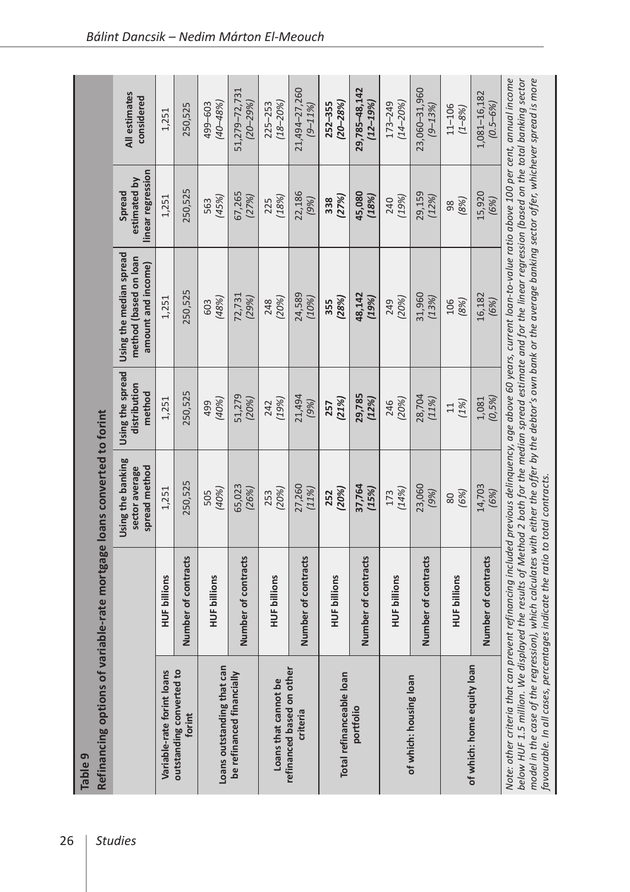| Refinancing options of<br>Table 9                                                                                                                                                                                                                                                                                                                                                                                                                        | variable-rate mortgage loans converted to forint |                                                      |                                            |                                                                                                                                      |                                             |                               |
|----------------------------------------------------------------------------------------------------------------------------------------------------------------------------------------------------------------------------------------------------------------------------------------------------------------------------------------------------------------------------------------------------------------------------------------------------------|--------------------------------------------------|------------------------------------------------------|--------------------------------------------|--------------------------------------------------------------------------------------------------------------------------------------|---------------------------------------------|-------------------------------|
|                                                                                                                                                                                                                                                                                                                                                                                                                                                          |                                                  | Using the banking<br>spread method<br>sector average | Using the spread<br>distribution<br>method | Using the median spread<br>method (based on loan<br>amount and income)                                                               | linear regression<br>estimated by<br>Spread | All estimates<br>considered   |
| Variable-rate forint loans                                                                                                                                                                                                                                                                                                                                                                                                                               | <b>HUF billions</b>                              | 1,251                                                | 1,251                                      | 1,251                                                                                                                                | 1,251                                       | 1,251                         |
| outstanding converted to<br>forint                                                                                                                                                                                                                                                                                                                                                                                                                       | Number of contracts                              | 250,525                                              | 250,525                                    | 250,525                                                                                                                              | 250,525                                     | 250,525                       |
| Loans outstanding that can                                                                                                                                                                                                                                                                                                                                                                                                                               | <b>HUF billions</b>                              | (40%)<br>505                                         | (40%)<br>499                               | (48%)<br>603                                                                                                                         | (45%)<br>563                                | $(40 - 48%)$<br>499-603       |
| be refinanced financially                                                                                                                                                                                                                                                                                                                                                                                                                                | Number of contracts                              | 65,023<br>(26%)                                      | 51,279<br>(20%)                            | 72,731<br>(29%)                                                                                                                      | 67,265<br>(27%)                             | 51,279-72,731<br>$(20 - 29%)$ |
| Loans that cannot be                                                                                                                                                                                                                                                                                                                                                                                                                                     | <b>HUF billions</b>                              | (20%)<br>253                                         | (19%)<br>242                               | (20%)<br>248                                                                                                                         | (18%)<br>225                                | $(18 - 20%)$<br>225-253       |
| refinanced based on other<br>criteria                                                                                                                                                                                                                                                                                                                                                                                                                    | Number of contracts                              | 27,260<br>(11%                                       | 21,494<br>(9%)                             | 24,589<br>(10%)                                                                                                                      | 22,186<br>(9%)                              | 21,494-27,260<br>$(9 - 11\%)$ |
| Total refinanceable loan                                                                                                                                                                                                                                                                                                                                                                                                                                 | <b>HUF billions</b>                              | (20%)<br>252                                         | (21%)<br>257                               | (28%)<br>355                                                                                                                         | (27%)<br>338                                | $(20 - 28%)$<br>$252 - 355$   |
| portfolio                                                                                                                                                                                                                                                                                                                                                                                                                                                | Number of contracts                              | 37,764<br>(15%)                                      | 29,785<br>(12%)                            | 48,142<br>(19%)                                                                                                                      | 45,080<br>(18%)                             | 29,785-48,142<br>$(12 - 19%)$ |
|                                                                                                                                                                                                                                                                                                                                                                                                                                                          | <b>HUF billions</b>                              | (14%)<br>173                                         | (20%)<br>246                               | (20%)<br>249                                                                                                                         | (19%)<br>240                                | $(14 - 20%)$<br>173-249       |
| of which: housing loan                                                                                                                                                                                                                                                                                                                                                                                                                                   | Number of contracts                              | 23,060<br>(9%)                                       | 28,704<br>(11%)                            | 31,960<br>(13%)                                                                                                                      | 29,159<br>(12%)                             | 23,060-31,960<br>$(9 - 13%)$  |
|                                                                                                                                                                                                                                                                                                                                                                                                                                                          | <b>HUF billions</b>                              | (6%)<br>80                                           | (1%)<br>$\Xi$                              | 106<br>(8%)                                                                                                                          | (8%)<br>98                                  | $11 - 106$<br>$(1 - 8\%)$     |
| of which: home equity loan                                                                                                                                                                                                                                                                                                                                                                                                                               | Number of contracts                              | 14,703<br>(6%)                                       | (0,5%)<br>1,081                            | 16,182<br>(6%)                                                                                                                       | 15,920<br>(6%)                              | 1,081-16,182<br>$(0.5 - 6%)$  |
| model in the case of the regression), which calculates with either the offer by the debtor's own bank or the average banking sector offer, whichever spread is more<br>below HUF 1.5 million. We displayed the results of Method 2 both for the median spread estimate and for the linear regression (based on the total banking sector<br>favourable. In all cases, percentages indicate the ratio to total contracts.<br>Note: other criteria that can |                                                  |                                                      |                                            | prevent refinancing included previous delinquency, age above 60 years, current loan-to-value ratio above 100 per cent, annual income |                                             |                               |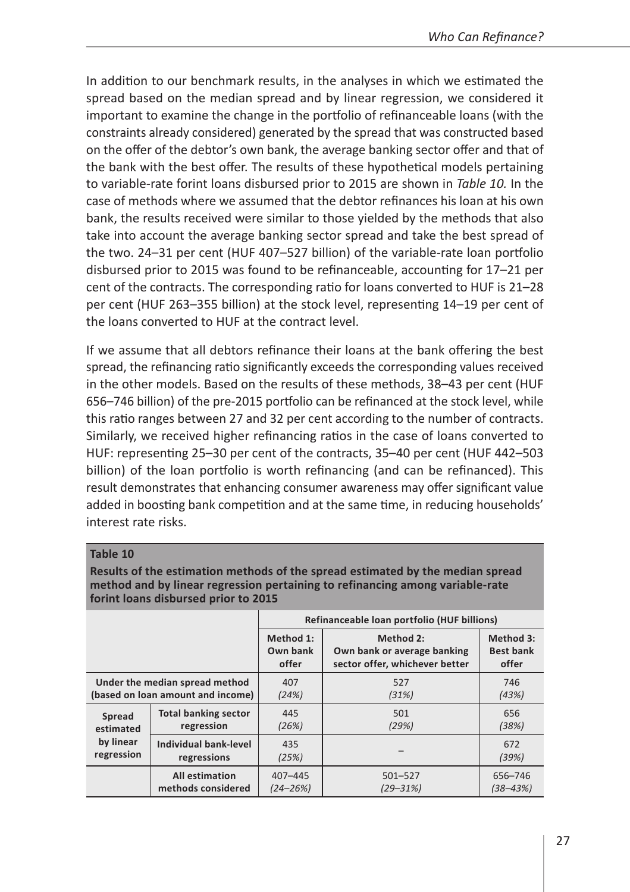In addition to our benchmark results, in the analyses in which we estimated the spread based on the median spread and by linear regression, we considered it important to examine the change in the portfolio of refinanceable loans (with the constraints already considered) generated by the spread that was constructed based on the offer of the debtor's own bank, the average banking sector offer and that of the bank with the best offer. The results of these hypothetical models pertaining to variable-rate forint loans disbursed prior to 2015 are shown in *Table 10.* In the case of methods where we assumed that the debtor refinances his loan at his own bank, the results received were similar to those yielded by the methods that also take into account the average banking sector spread and take the best spread of the two. 24–31 per cent (HUF 407–527 billion) of the variable-rate loan portfolio disbursed prior to 2015 was found to be refinanceable, accounting for 17–21 per cent of the contracts. The corresponding ratio for loans converted to HUF is 21–28 per cent (HUF 263–355 billion) at the stock level, representing 14–19 per cent of the loans converted to HUF at the contract level.

If we assume that all debtors refinance their loans at the bank offering the best spread, the refinancing ratio significantly exceeds the corresponding values received in the other models. Based on the results of these methods, 38–43 per cent (HUF 656–746 billion) of the pre-2015 portfolio can be refinanced at the stock level, while this ratio ranges between 27 and 32 per cent according to the number of contracts. Similarly, we received higher refinancing ratios in the case of loans converted to HUF: representing 25–30 per cent of the contracts, 35–40 per cent (HUF 442–503 billion) of the loan portfolio is worth refinancing (and can be refinanced). This result demonstrates that enhancing consumer awareness may offer significant value added in boosting bank competition and at the same time, in reducing households' interest rate risks.

#### **Table 10**

**Results of the estimation methods of the spread estimated by the median spread method and by linear regression pertaining to refinancing among variable-rate forint loans disbursed prior to 2015**

|            |                                   |                                | Refinanceable loan portfolio (HUF billions)                                |                                        |
|------------|-----------------------------------|--------------------------------|----------------------------------------------------------------------------|----------------------------------------|
|            |                                   | Method 1:<br>Own bank<br>offer | Method 2:<br>Own bank or average banking<br>sector offer, whichever better | Method 3:<br><b>Best bank</b><br>offer |
|            | Under the median spread method    | 407                            | 527                                                                        | 746                                    |
|            | (based on loan amount and income) | (24%)                          | (31%)                                                                      | (43%)                                  |
| Spread     | <b>Total banking sector</b>       | 445                            | 501                                                                        | 656                                    |
| estimated  | regression                        | (26%)                          | (29%)                                                                      | (38%)                                  |
| by linear  | Individual bank-level             | 435                            |                                                                            | 672                                    |
| regression | regressions                       | (25%)                          |                                                                            | (39%)                                  |
|            | <b>All estimation</b>             | $407 - 445$                    | $501 - 527$                                                                | 656-746                                |
|            | methods considered                | $(24 - 26\%)$                  | $(29 - 31%)$                                                               | $(38 - 43%)$                           |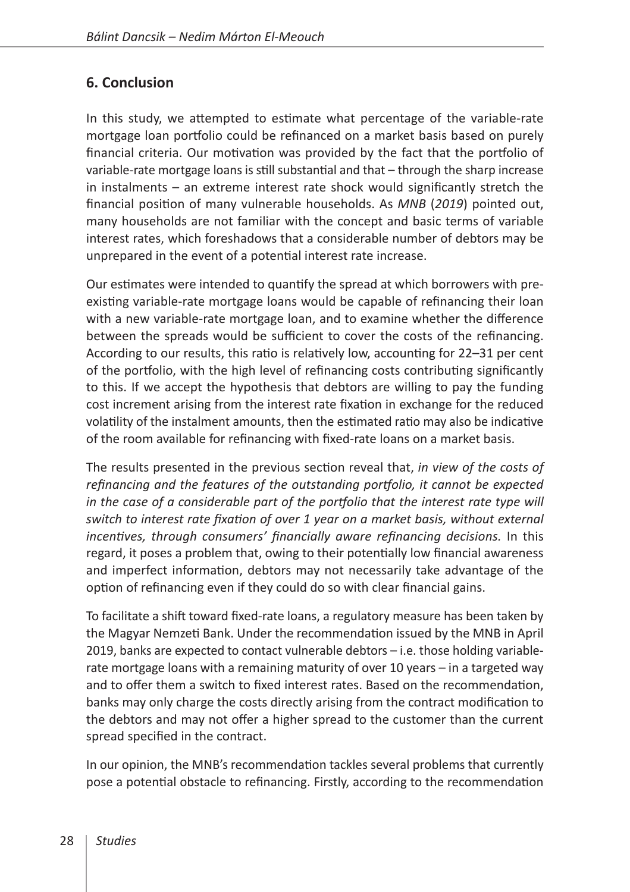# **6. Conclusion**

In this study, we attempted to estimate what percentage of the variable-rate mortgage loan portfolio could be refinanced on a market basis based on purely financial criteria. Our motivation was provided by the fact that the portfolio of variable-rate mortgage loans is still substantial and that – through the sharp increase in instalments – an extreme interest rate shock would significantly stretch the financial position of many vulnerable households. As *MNB* (*2019*) pointed out, many households are not familiar with the concept and basic terms of variable interest rates, which foreshadows that a considerable number of debtors may be unprepared in the event of a potential interest rate increase.

Our estimates were intended to quantify the spread at which borrowers with preexisting variable-rate mortgage loans would be capable of refinancing their loan with a new variable-rate mortgage loan, and to examine whether the difference between the spreads would be sufficient to cover the costs of the refinancing. According to our results, this ratio is relatively low, accounting for 22–31 per cent of the portfolio, with the high level of refinancing costs contributing significantly to this. If we accept the hypothesis that debtors are willing to pay the funding cost increment arising from the interest rate fixation in exchange for the reduced volatility of the instalment amounts, then the estimated ratio may also be indicative of the room available for refinancing with fixed-rate loans on a market basis.

The results presented in the previous section reveal that, *in view of the costs of refinancing and the features of the outstanding portfolio, it cannot be expected in the case of a considerable part of the portfolio that the interest rate type will switch to interest rate fixation of over 1 year on a market basis, without external incentives, through consumers' financially aware refinancing decisions.* In this regard, it poses a problem that, owing to their potentially low financial awareness and imperfect information, debtors may not necessarily take advantage of the option of refinancing even if they could do so with clear financial gains.

To facilitate a shift toward fixed-rate loans, a regulatory measure has been taken by the Magyar Nemzeti Bank. Under the recommendation issued by the MNB in April 2019, banks are expected to contact vulnerable debtors – i.e. those holding variablerate mortgage loans with a remaining maturity of over 10 years – in a targeted way and to offer them a switch to fixed interest rates. Based on the recommendation, banks may only charge the costs directly arising from the contract modification to the debtors and may not offer a higher spread to the customer than the current spread specified in the contract.

In our opinion, the MNB's recommendation tackles several problems that currently pose a potential obstacle to refinancing. Firstly, according to the recommendation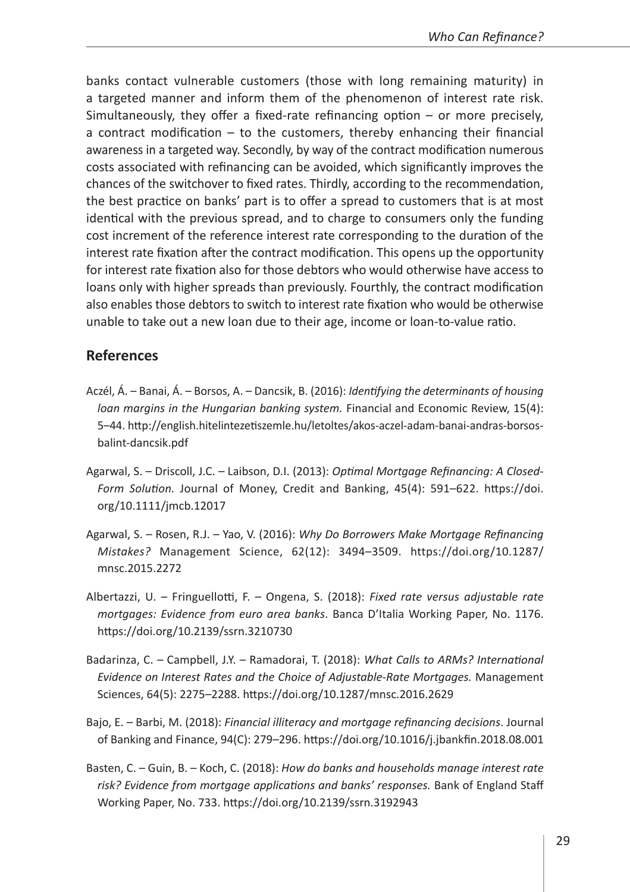banks contact vulnerable customers (those with long remaining maturity) in a targeted manner and inform them of the phenomenon of interest rate risk. Simultaneously, they offer a fixed-rate refinancing option – or more precisely, a contract modification – to the customers, thereby enhancing their financial awareness in a targeted way. Secondly, by way of the contract modification numerous costs associated with refinancing can be avoided, which significantly improves the chances of the switchover to fixed rates. Thirdly, according to the recommendation, the best practice on banks' part is to offer a spread to customers that is at most identical with the previous spread, and to charge to consumers only the funding cost increment of the reference interest rate corresponding to the duration of the interest rate fixation after the contract modification. This opens up the opportunity for interest rate fixation also for those debtors who would otherwise have access to loans only with higher spreads than previously. Fourthly, the contract modification also enables those debtors to switch to interest rate fixation who would be otherwise unable to take out a new loan due to their age, income or loan-to-value ratio.

### **References**

- Aczél, Á. Banai, Á. Borsos, A. Dancsik, B. (2016): *Identifying the determinants of housing loan margins in the Hungarian banking system.* Financial and Economic Review, 15(4): 5–44. [http://english.hitelintezetiszemle.hu/letoltes/akos-aczel-adam-banai-andras-borsos](http://english.hitelintezetiszemle.hu/letoltes/akos-aczel-adam-banai-andras-borsos-balint-dancsik.pdf)[balint-dancsik.pdf](http://english.hitelintezetiszemle.hu/letoltes/akos-aczel-adam-banai-andras-borsos-balint-dancsik.pdf)
- Agarwal, S. Driscoll, J.C. Laibson, D.I. (2013): *Optimal Mortgage Refinancing: A Closed-Form Solution.* Journal of Money, Credit and Banking, 45(4): 591–622. [https://doi.](https://doi.org/10.1111/jmcb.12017) [org/10.1111/jmcb.12017](https://doi.org/10.1111/jmcb.12017)
- Agarwal, S. Rosen, R.J. Yao, V. (2016): *Why Do Borrowers Make Mortgage Refinancing Mistakes?* Management Science, 62(12): 3494–3509. [https://doi.org/10.1287/](https://doi.org/10.1287/mnsc.2015.2272) [mnsc.2015.2272](https://doi.org/10.1287/mnsc.2015.2272)
- Albertazzi, U. Fringuellotti, F. Ongena, S. (2018): *Fixed rate versus adjustable rate mortgages: Evidence from euro area banks*. Banca D'Italia Working Paper, No. 1176. <https://doi.org/10.2139/ssrn.3210730>
- Badarinza, C. Campbell, J.Y. Ramadorai, T. (2018): *What Calls to ARMs? International Evidence on Interest Rates and the Choice of Adjustable-Rate Mortgages.* Management Sciences, 64(5): 2275–2288. <https://doi.org/10.1287/mnsc.2016.2629>
- Bajo, E. Barbi, M. (2018): *Financial illiteracy and mortgage refinancing decisions*. Journal of Banking and Finance, 94(C): 279–296. <https://doi.org/10.1016/j.jbankfin.2018.08.001>
- Basten, C. Guin, B. Koch, C. (2018): *How do banks and households manage interest rate risk? Evidence from mortgage applications and banks' responses.* Bank of England Staff Working Paper, No. 733. <https://doi.org/10.2139/ssrn.3192943>